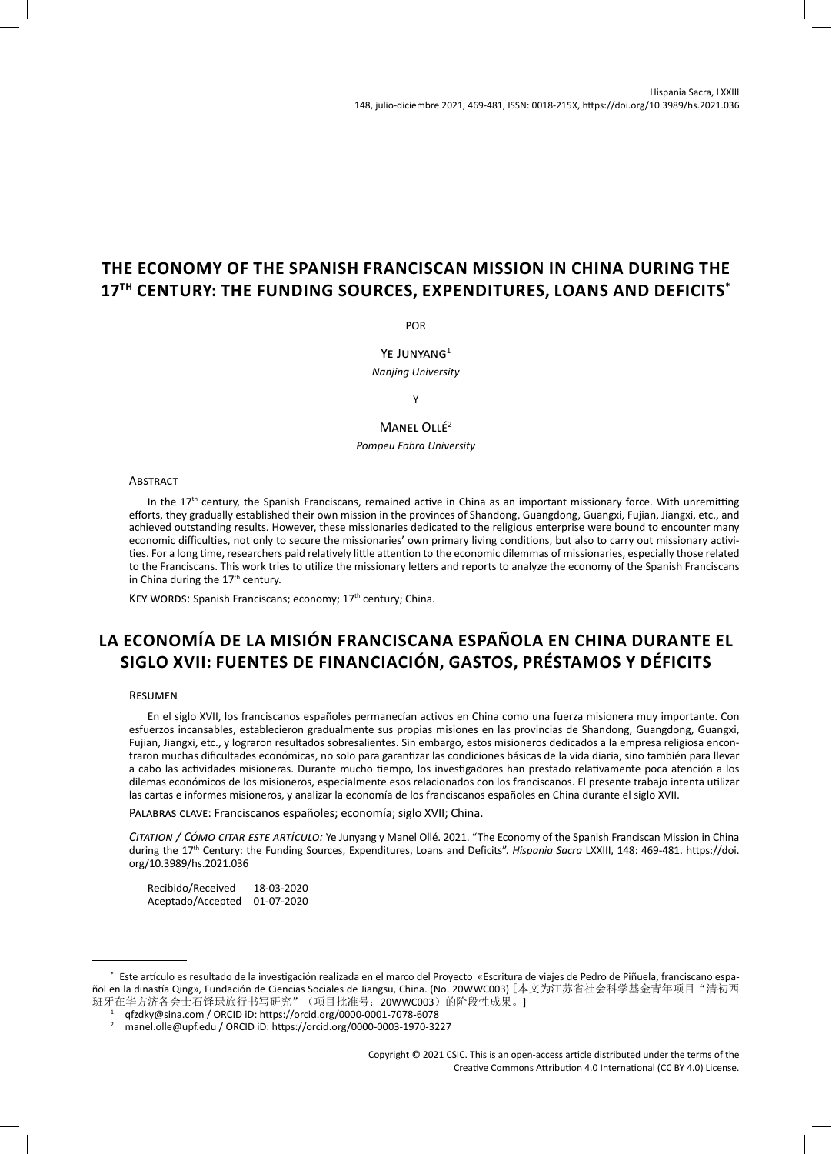# **THE ECONOMY OF THE SPANISH FRANCISCAN MISSION IN CHINA DURING THE 17TH CENTURY: THE FUNDING SOURCES, EXPENDITURES, LOANS AND DEFICITS\***

POR

YE JUNYANG<sup>1</sup> *Nanjing University*

Y

MANEL OLLÉ<sup>2</sup>

*Pompeu Fabra University*

#### **ABSTRACT**

In the  $17<sup>th</sup>$  century, the Spanish Franciscans, remained active in China as an important missionary force. With unremitting efforts, they gradually established their own mission in the provinces of Shandong, Guangdong, Guangxi, Fujian, Jiangxi, etc., and achieved outstanding results. However, these missionaries dedicated to the religious enterprise were bound to encounter many economic difficulties, not only to secure the missionaries' own primary living conditions, but also to carry out missionary activities. For a long time, researchers paid relatively little attention to the economic dilemmas of missionaries, especially those related to the Franciscans. This work tries to utilize the missionary letters and reports to analyze the economy of the Spanish Franciscans in China during the 17<sup>th</sup> century.

KEY WORDS: Spanish Franciscans; economy; 17<sup>th</sup> century; China.

# **LA ECONOMÍA DE LA MISIÓN FRANCISCANA ESPAÑOLA EN CHINA DURANTE EL SIGLO XVII: FUENTES DE FINANCIACIÓN, GASTOS, PRÉSTAMOS Y DÉFICITS**

## Resumen

En el siglo XVII, los franciscanos españoles permanecían activos en China como una fuerza misionera muy importante. Con esfuerzos incansables, establecieron gradualmente sus propias misiones en las provincias de Shandong, Guangdong, Guangxi, Fujian, Jiangxi, etc., y lograron resultados sobresalientes. Sin embargo, estos misioneros dedicados a la empresa religiosa encontraron muchas dificultades económicas, no solo para garantizar las condiciones básicas de la vida diaria, sino también para llevar a cabo las actividades misioneras. Durante mucho tiempo, los investigadores han prestado relativamente poca atención a los dilemas económicos de los misioneros, especialmente esos relacionados con los franciscanos. El presente trabajo intenta utilizar las cartas e informes misioneros, y analizar la economía de los franciscanos españoles en China durante el siglo XVII.

Palabras clave: Franciscanos españoles; economía; siglo XVII; China.

*Citation / Cómo citar este artículo:* Ye Junyang y Manel Ollé. 2021. "The Economy of the Spanish Franciscan Mission in China during the 17th Century: the Funding Sources, Expenditures, Loans and Deficits". *Hispania Sacra* LXXIII, 148: 469-481. https://doi. org/10.3989/hs.2021.036

Recibido/Received 18-03-2020 Aceptado/Accepted 01-07-2020

<sup>\*</sup> Este artículo es resultado de la investigación realizada en el marco del Proyecto «Escritura de viajes de Pedro de Piñuela, franciscano español en la dinastía Qing», Fundación de Ciencias Sociales de Jiangsu, China. (No. 20WWC003) [本文为江苏省社会科学基金青年项目"清初西 班牙在华方济各会士石铎琭旅行书写研究"(项目批准号: 20WWC003)的阶段性成果。]

<sup>1</sup> qfzdky@sina.com / ORCID iD:<https://orcid.org/0000-0001-7078-6078>

<sup>2</sup> manel.olle@upf.edu / ORCID iD: <https://orcid.org/0000-0003-1970-3227>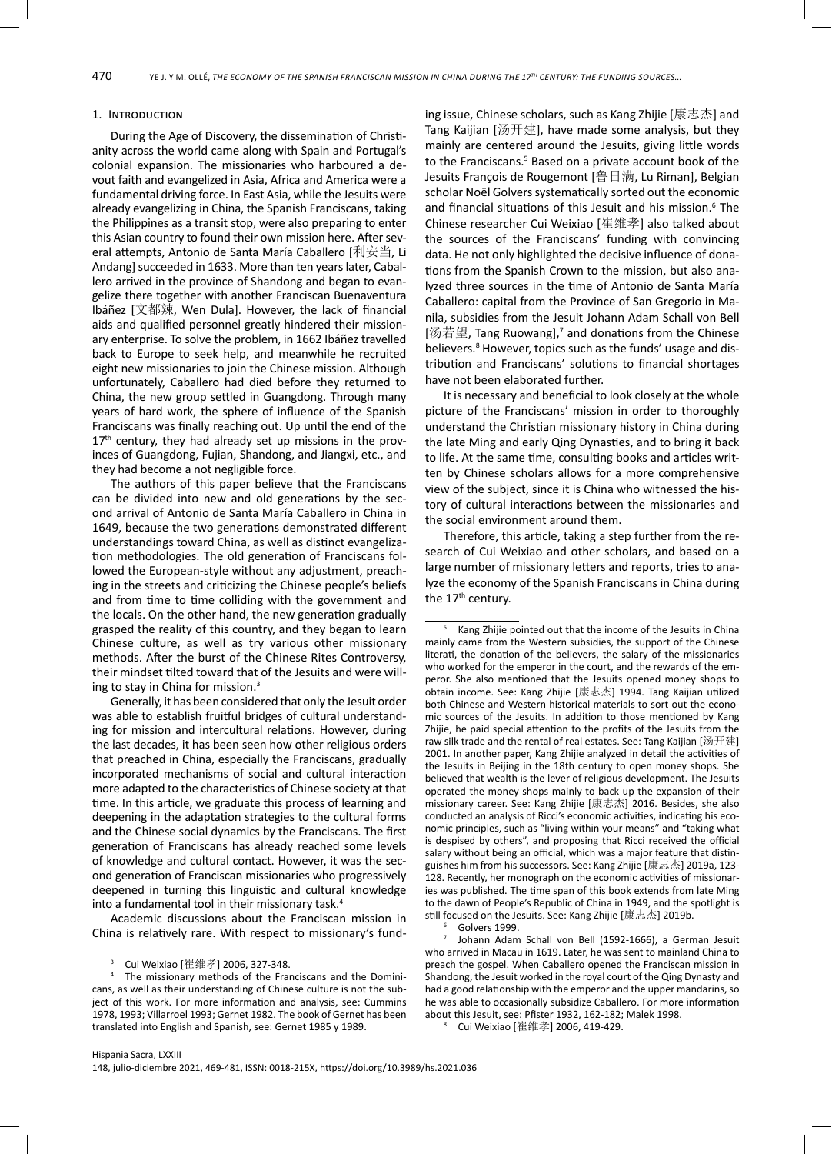# 1. Introduction

During the Age of Discovery, the dissemination of Christianity across the world came along with Spain and Portugal's colonial expansion. The missionaries who harboured a devout faith and evangelized in Asia, Africa and America were a fundamental driving force. In East Asia, while the Jesuits were already evangelizing in China, the Spanish Franciscans, taking the Philippines as a transit stop, were also preparing to enter this Asian country to found their own mission here. After several attempts, Antonio de Santa María Caballero [利安当, Li Andang] succeeded in 1633. More than ten years later, Caballero arrived in the province of Shandong and began to evangelize there together with another Franciscan Buenaventura Ibáñez [文都辣, Wen Dula]. However, the lack of financial aids and qualified personnel greatly hindered their missionary enterprise. To solve the problem, in 1662 Ibáñez travelled back to Europe to seek help, and meanwhile he recruited eight new missionaries to join the Chinese mission. Although unfortunately, Caballero had died before they returned to China, the new group settled in Guangdong. Through many years of hard work, the sphere of influence of the Spanish Franciscans was finally reaching out. Up until the end of the  $17<sup>th</sup>$  century, they had already set up missions in the provinces of Guangdong, Fujian, Shandong, and Jiangxi, etc., and they had become a not negligible force.

The authors of this paper believe that the Franciscans can be divided into new and old generations by the second arrival of Antonio de Santa María Caballero in China in 1649, because the two generations demonstrated different understandings toward China, as well as distinct evangelization methodologies. The old generation of Franciscans followed the European-style without any adjustment, preaching in the streets and criticizing the Chinese people's beliefs and from time to time colliding with the government and the locals. On the other hand, the new generation gradually grasped the reality of this country, and they began to learn Chinese culture, as well as try various other missionary methods. After the burst of the Chinese Rites Controversy, their mindset tilted toward that of the Jesuits and were willing to stay in China for mission.3

Generally, it has been considered that only the Jesuit order was able to establish fruitful bridges of cultural understanding for mission and intercultural relations. However, during the last decades, it has been seen how other religious orders that preached in China, especially the Franciscans, gradually incorporated mechanisms of social and cultural interaction more adapted to the characteristics of Chinese society at that time. In this article, we graduate this process of learning and deepening in the adaptation strategies to the cultural forms and the Chinese social dynamics by the Franciscans. The first generation of Franciscans has already reached some levels of knowledge and cultural contact. However, it was the second generation of Franciscan missionaries who progressively deepened in turning this linguistic and cultural knowledge into a fundamental tool in their missionary task.<sup>4</sup>

Academic discussions about the Franciscan mission in China is relatively rare. With respect to missionary's funding issue, Chinese scholars, such as Kang Zhijie [康志杰] and Tang Kaijian [汤开建], have made some analysis, but they mainly are centered around the Jesuits, giving little words to the Franciscans.<sup>5</sup> Based on a private account book of the Jesuits François de Rougemont [鲁日满, Lu Riman], Belgian scholar Noël Golvers systematically sorted out the economic and financial situations of this Jesuit and his mission.<sup>6</sup> The Chinese researcher Cui Weixiao [崔维孝] also talked about the sources of the Franciscans' funding with convincing data. He not only highlighted the decisive influence of donations from the Spanish Crown to the mission, but also analyzed three sources in the time of Antonio de Santa María Caballero: capital from the Province of San Gregorio in Manila, subsidies from the Jesuit Johann Adam Schall von Bell [汤若望, Tang Ruowang],<sup>7</sup> and donations from the Chinese believers.<sup>8</sup> However, topics such as the funds' usage and distribution and Franciscans' solutions to financial shortages have not been elaborated further.

It is necessary and beneficial to look closely at the whole picture of the Franciscans' mission in order to thoroughly understand the Christian missionary history in China during the late Ming and early Qing Dynasties, and to bring it back to life. At the same time, consulting books and articles written by Chinese scholars allows for a more comprehensive view of the subject, since it is China who witnessed the history of cultural interactions between the missionaries and the social environment around them.

Therefore, this article, taking a step further from the research of Cui Weixiao and other scholars, and based on a large number of missionary letters and reports, tries to analyze the economy of the Spanish Franciscans in China during the 17<sup>th</sup> century.

6 Golvers 1999.

7 Johann Adam Schall von Bell (1592-1666), a German Jesuit who arrived in Macau in 1619. Later, he was sent to mainland China to preach the gospel. When Caballero opened the Franciscan mission in Shandong, the Jesuit worked in the royal court of the Qing Dynasty and had a good relationship with the emperor and the upper mandarins, so he was able to occasionally subsidize Caballero. For more information about this Jesuit, see: Pfister 1932, 162-182; Malek 1998.

8 Cui Weixiao [崔维孝] 2006, 419-429.

<sup>3</sup> Cui Weixiao [崔维孝] 2006, 327-348.

<sup>4</sup> The missionary methods of the Franciscans and the Dominicans, as well as their understanding of Chinese culture is not the subject of this work. For more information and analysis, see: Cummins 1978, 1993; Villarroel 1993; Gernet 1982. The book of Gernet has been translated into English and Spanish, see: Gernet 1985 y 1989.

<sup>5</sup> Kang Zhijie pointed out that the income of the Jesuits in China mainly came from the Western subsidies, the support of the Chinese literati, the donation of the believers, the salary of the missionaries who worked for the emperor in the court, and the rewards of the emperor. She also mentioned that the Jesuits opened money shops to obtain income. See: Kang Zhijie [康志杰] 1994. Tang Kaijian utilized both Chinese and Western historical materials to sort out the economic sources of the Jesuits. In addition to those mentioned by Kang Zhijie, he paid special attention to the profits of the Jesuits from the raw silk trade and the rental of real estates. See: Tang Kaijian [汤开建] 2001. In another paper, Kang Zhijie analyzed in detail the activities of the Jesuits in Beijing in the 18th century to open money shops. She believed that wealth is the lever of religious development. The Jesuits operated the money shops mainly to back up the expansion of their missionary career. See: Kang Zhijie [康志杰] 2016. Besides, she also conducted an analysis of Ricci's economic activities, indicating his economic principles, such as "living within your means" and "taking what is despised by others", and proposing that Ricci received the official salary without being an official, which was a major feature that distinguishes him from his successors. See: Kang Zhijie [康志杰] 2019a, 123- 128. Recently, her monograph on the economic activities of missionaries was published. The time span of this book extends from late Ming to the dawn of People's Republic of China in 1949, and the spotlight is still focused on the Jesuits. See: Kang Zhijie [康志杰] 2019b.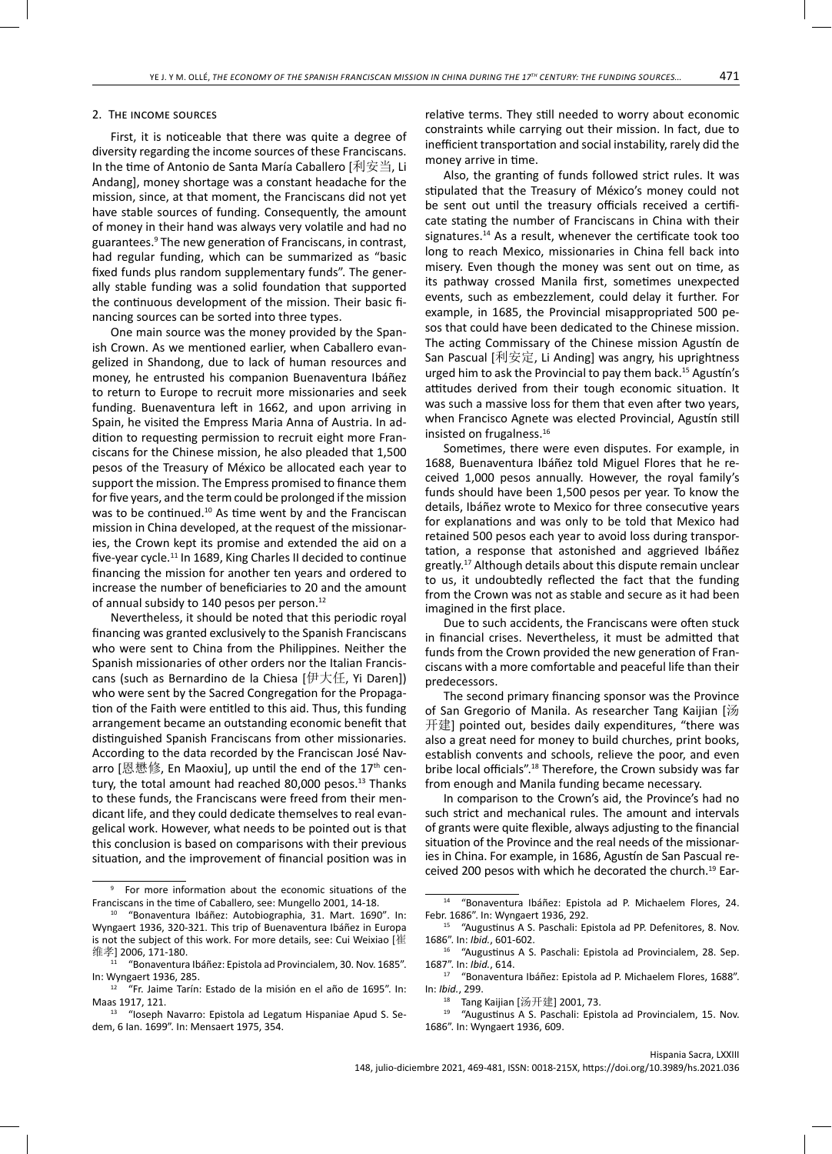# 2. The income sources

First, it is noticeable that there was quite a degree of diversity regarding the income sources of these Franciscans. In the time of Antonio de Santa María Caballero [利安当, Li Andang], money shortage was a constant headache for the mission, since, at that moment, the Franciscans did not yet have stable sources of funding. Consequently, the amount of money in their hand was always very volatile and had no guarantees.<sup>9</sup> The new generation of Franciscans, in contrast, had regular funding, which can be summarized as "basic fixed funds plus random supplementary funds". The generally stable funding was a solid foundation that supported the continuous development of the mission. Their basic financing sources can be sorted into three types.

One main source was the money provided by the Spanish Crown. As we mentioned earlier, when Caballero evangelized in Shandong, due to lack of human resources and money, he entrusted his companion Buenaventura Ibáñez to return to Europe to recruit more missionaries and seek funding. Buenaventura left in 1662, and upon arriving in Spain, he visited the Empress Maria Anna of Austria. In addition to requesting permission to recruit eight more Franciscans for the Chinese mission, he also pleaded that 1,500 pesos of the Treasury of México be allocated each year to support the mission. The Empress promised to finance them for five years, and the term could be prolonged if the mission was to be continued.<sup>10</sup> As time went by and the Franciscan mission in China developed, at the request of the missionaries, the Crown kept its promise and extended the aid on a five-year cycle.<sup>11</sup> In 1689, King Charles II decided to continue financing the mission for another ten years and ordered to increase the number of beneficiaries to 20 and the amount of annual subsidy to 140 pesos per person.<sup>12</sup>

Nevertheless, it should be noted that this periodic royal financing was granted exclusively to the Spanish Franciscans who were sent to China from the Philippines. Neither the Spanish missionaries of other orders nor the Italian Franciscans (such as Bernardino de la Chiesa [伊大任, Yi Daren]) who were sent by the Sacred Congregation for the Propagation of the Faith were entitled to this aid. Thus, this funding arrangement became an outstanding economic benefit that distinguished Spanish Franciscans from other missionaries. According to the data recorded by the Franciscan José Navarro [恩懋修, En Maoxiu], up until the end of the 17<sup>th</sup> century, the total amount had reached 80,000 pesos.<sup>13</sup> Thanks to these funds, the Franciscans were freed from their mendicant life, and they could dedicate themselves to real evangelical work. However, what needs to be pointed out is that this conclusion is based on comparisons with their previous situation, and the improvement of financial position was in relative terms. They still needed to worry about economic constraints while carrying out their mission. In fact, due to inefficient transportation and social instability, rarely did the money arrive in time.

Also, the granting of funds followed strict rules. It was stipulated that the Treasury of México's money could not be sent out until the treasury officials received a certificate stating the number of Franciscans in China with their signatures.<sup>14</sup> As a result, whenever the certificate took too long to reach Mexico, missionaries in China fell back into misery. Even though the money was sent out on time, as its pathway crossed Manila first, sometimes unexpected events, such as embezzlement, could delay it further. For example, in 1685, the Provincial misappropriated 500 pesos that could have been dedicated to the Chinese mission. The acting Commissary of the Chinese mission Agustín de San Pascual [利安定, Li Anding] was angry, his uprightness urged him to ask the Provincial to pay them back.<sup>15</sup> Agustín's attitudes derived from their tough economic situation. It was such a massive loss for them that even after two years, when Francisco Agnete was elected Provincial, Agustín still insisted on frugalness.16

Sometimes, there were even disputes. For example, in 1688, Buenaventura Ibáñez told Miguel Flores that he received 1,000 pesos annually. However, the royal family's funds should have been 1,500 pesos per year. To know the details, Ibáñez wrote to Mexico for three consecutive years for explanations and was only to be told that Mexico had retained 500 pesos each year to avoid loss during transportation, a response that astonished and aggrieved Ibáñez greatly.<sup>17</sup> Although details about this dispute remain unclear to us, it undoubtedly reflected the fact that the funding from the Crown was not as stable and secure as it had been imagined in the first place.

Due to such accidents, the Franciscans were often stuck in financial crises. Nevertheless, it must be admitted that funds from the Crown provided the new generation of Franciscans with a more comfortable and peaceful life than their predecessors.

The second primary financing sponsor was the Province of San Gregorio of Manila. As researcher Tang Kaijian [汤 开建] pointed out, besides daily expenditures, "there was also a great need for money to build churches, print books, establish convents and schools, relieve the poor, and even bribe local officials".18 Therefore, the Crown subsidy was far from enough and Manila funding became necessary.

In comparison to the Crown's aid, the Province's had no such strict and mechanical rules. The amount and intervals of grants were quite flexible, always adjusting to the financial situation of the Province and the real needs of the missionaries in China. For example, in 1686, Agustín de San Pascual received 200 pesos with which he decorated the church.19 Ear-

<sup>9</sup> For more information about the economic situations of the Franciscans in the time of Caballero, see: Mungello 2001, 14-18.

<sup>10</sup> "Bonaventura Ibáñez: Autobiographia, 31. Mart. 1690". In: Wyngaert 1936, 320-321. This trip of Buenaventura Ibáñez in Europa is not the subject of this work. For more details, see: Cui Weixiao [崔 维孝] 2006, 171-180.

<sup>11</sup> "Bonaventura Ibáñez: Epistola ad Provincialem, 30. Nov. 1685". In: Wyngaert 1936, 285.

<sup>12</sup> "Fr. Jaime Tarín: Estado de la misión en el año de 1695". In: Maas 1917, 121.

<sup>&</sup>lt;sup>13</sup> "Ioseph Navarro: Epistola ad Legatum Hispaniae Apud S. Sedem, 6 Ian. 1699". In: Mensaert 1975, 354.

<sup>14 &</sup>quot;Bonaventura Ibáñez: Epistola ad P. Michaelem Flores, 24. Febr. 1686". In: Wyngaert 1936, 292.

<sup>&</sup>quot;Augustinus A S. Paschali: Epistola ad PP. Defenitores, 8. Nov. 1686". In: *Ibid.*, 601-602.

<sup>&</sup>lt;sup>16</sup> "Augustinus A S. Paschali: Epistola ad Provincialem, 28. Sep. 1687". In: *Ibid.*, 614.

<sup>17</sup> "Bonaventura Ibáñez: Epistola ad P. Michaelem Flores, 1688". In: *Ibid.*, 299.

<sup>18</sup> Tang Kaijian [汤开建] 2001, 73.

<sup>&</sup>quot;Augustinus A S. Paschali: Epistola ad Provincialem, 15. Nov. 1686". In: Wyngaert 1936, 609.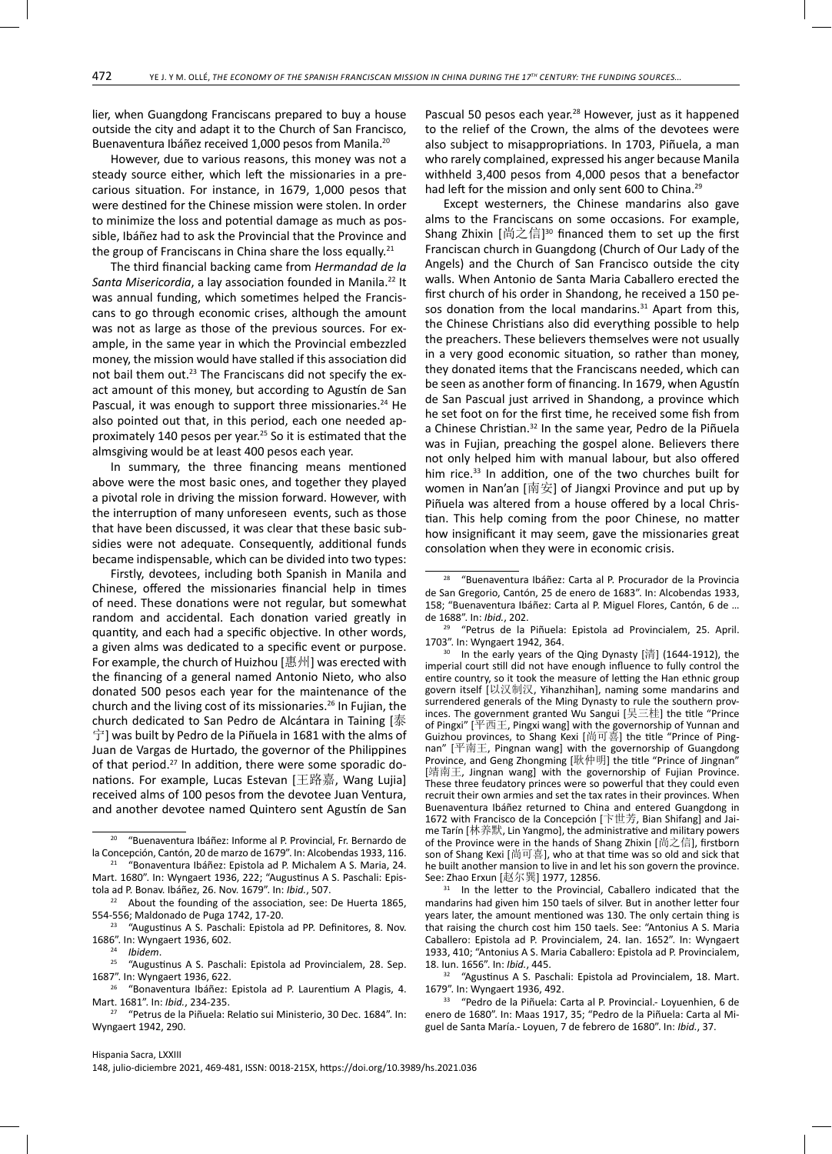lier, when Guangdong Franciscans prepared to buy a house outside the city and adapt it to the Church of San Francisco, Buenaventura Ibáñez received 1,000 pesos from Manila.<sup>20</sup>

However, due to various reasons, this money was not a steady source either, which left the missionaries in a precarious situation. For instance, in 1679, 1,000 pesos that were destined for the Chinese mission were stolen. In order to minimize the loss and potential damage as much as possible, Ibáñez had to ask the Provincial that the Province and the group of Franciscans in China share the loss equally.<sup>21</sup>

The third financial backing came from *Hermandad de la*  Santa Misericordia, a lay association founded in Manila.<sup>22</sup> It was annual funding, which sometimes helped the Franciscans to go through economic crises, although the amount was not as large as those of the previous sources. For example, in the same year in which the Provincial embezzled money, the mission would have stalled if this association did not bail them out.<sup>23</sup> The Franciscans did not specify the exact amount of this money, but according to Agustín de San Pascual, it was enough to support three missionaries.<sup>24</sup> He also pointed out that, in this period, each one needed approximately 140 pesos per year.<sup>25</sup> So it is estimated that the almsgiving would be at least 400 pesos each year.

In summary, the three financing means mentioned above were the most basic ones, and together they played a pivotal role in driving the mission forward. However, with the interruption of many unforeseen events, such as those that have been discussed, it was clear that these basic subsidies were not adequate. Consequently, additional funds became indispensable, which can be divided into two types:

Firstly, devotees, including both Spanish in Manila and Chinese, offered the missionaries financial help in times of need. These donations were not regular, but somewhat random and accidental. Each donation varied greatly in quantity, and each had a specific objective. In other words, a given alms was dedicated to a specific event or purpose. For example, the church of Huizhou [惠州] was erected with the financing of a general named Antonio Nieto, who also donated 500 pesos each year for the maintenance of the church and the living cost of its missionaries.<sup>26</sup> In Fujian, the church dedicated to San Pedro de Alcántara in Taining [泰 宁] was built by Pedro de la Piñuela in 1681 with the alms of Juan de Vargas de Hurtado, the governor of the Philippines of that period.27 In addition, there were some sporadic donations. For example, Lucas Estevan [王路嘉, Wang Lujia] received alms of 100 pesos from the devotee Juan Ventura, and another devotee named Quintero sent Agustín de San Pascual 50 pesos each year.<sup>28</sup> However, just as it happened to the relief of the Crown, the alms of the devotees were also subject to misappropriations. In 1703, Piñuela, a man who rarely complained, expressed his anger because Manila withheld 3,400 pesos from 4,000 pesos that a benefactor had left for the mission and only sent 600 to China.<sup>29</sup>

Except westerners, the Chinese mandarins also gave alms to the Franciscans on some occasions. For example, Shang Zhixin [尚之信] 30 financed them to set up the first Franciscan church in Guangdong (Church of Our Lady of the Angels) and the Church of San Francisco outside the city walls. When Antonio de Santa Maria Caballero erected the first church of his order in Shandong, he received a 150 pesos donation from the local mandarins.<sup>31</sup> Apart from this, the Chinese Christians also did everything possible to help the preachers. These believers themselves were not usually in a very good economic situation, so rather than money, they donated items that the Franciscans needed, which can be seen as another form of financing. In 1679, when Agustín de San Pascual just arrived in Shandong, a province which he set foot on for the first time, he received some fish from a Chinese Christian.<sup>32</sup> In the same year, Pedro de la Piñuela was in Fujian, preaching the gospel alone. Believers there not only helped him with manual labour, but also offered him rice.<sup>33</sup> In addition, one of the two churches built for women in Nan'an [南安] of Jiangxi Province and put up by Piñuela was altered from a house offered by a local Christian. This help coming from the poor Chinese, no matter how insignificant it may seem, gave the missionaries great consolation when they were in economic crisis.

<sup>31</sup> In the letter to the Provincial, Caballero indicated that the mandarins had given him 150 taels of silver. But in another letter four years later, the amount mentioned was 130. The only certain thing is that raising the church cost him 150 taels. See: "Antonius A S. Maria Caballero: Epistola ad P. Provincialem, 24. Ian. 1652". In: Wyngaert 1933, 410; "Antonius A S. Maria Caballero: Epistola ad P. Provincialem, 18. Iun. 1656". In: *Ibid.*, 445.

"Agustinus A S. Paschali: Epistola ad Provincialem, 18. Mart. 1679". In: Wyngaert 1936, 492.<br>33 "Pedro de la Piñuela: C

33 "Pedro de la Piñuela: Carta al P. Provincial.- Loyuenhien, 6 de enero de 1680". In: Maas 1917, 35; "Pedro de la Piñuela: Carta al Miguel de Santa María.- Loyuen, 7 de febrero de 1680". In: *Ibid.*, 37.

<sup>20</sup> "Buenaventura Ibáñez: Informe al P. Provincial, Fr. Bernardo de la Concepción, Cantón, 20 de marzo de 1679". In: Alcobendas 1933, 116. <sup>21</sup> "Bonaventura Ibáñez: Epistola ad P. Michalem A S. Maria, 24.

Mart. 1680". In: Wyngaert 1936, 222; "Augustinus A S. Paschali: Epistola ad P. Bonav. Ibáñez, 26. Nov. 1679". In: *Ibid.*, 507.

<sup>22</sup> About the founding of the association, see: De Huerta 1865, 554-556; Maldonado de Puga 1742, 17-20.<br><sup>23</sup> "Augustinus A S. Paschali: Epistola ad PP. Definitores, 8. Nov.

<sup>1686&</sup>quot;. In: Wyngaert 1936, 602.

<sup>&</sup>lt;sup>24</sup> *Ibidem.*<br><sup>25</sup> "August"

<sup>25 &</sup>quot;Augustinus A S. Paschali: Epistola ad Provincialem, 28. Sep. 1687". In: Wyngaert 1936, 622.

<sup>26 &</sup>quot;Bonaventura Ibáñez: Epistola ad P. Laurentium A Plagis, 4. Mart. 1681". In: *Ibid.*, 234-235.

<sup>27</sup> "Petrus de la Piñuela: Relatio sui Ministerio, 30 Dec. 1684". In: Wyngaert 1942, 290.

<sup>28 &</sup>quot;Buenaventura Ibáñez: Carta al P. Procurador de la Provincia de San Gregorio, Cantón, 25 de enero de 1683". In: Alcobendas 1933, 158; "Buenaventura Ibáñez: Carta al P. Miguel Flores, Cantón, 6 de … de 1688". In: *Ibid.*, 202.

<sup>29 &</sup>quot;Petrus de la Piñuela: Epistola ad Provincialem, 25. April. 1703". In: Wyngaert 1942, 364.

 $30$  In the early years of the Qing Dynasty [清] (1644-1912), the imperial court still did not have enough influence to fully control the entire country, so it took the measure of letting the Han ethnic group govern itself [以汉制汉, Yihanzhihan], naming some mandarins and surrendered generals of the Ming Dynasty to rule the southern provinces. The government granted Wu Sangui [吴三桂] the title "Prince of Pingxi" [平西王, Pingxi wang] with the governorship of Yunnan and Guizhou provinces, to Shang Kexi [尚可喜] the title "Prince of Pingnan"  $[$  $\overline{\text{F}}$ 南王, Pingnan wang] with the governorship of Guangdong Province, and Geng Zhongming [耿仲明] the title "Prince of Jingnan" [靖南王, Jingnan wang] with the governorship of Fujian Province. These three feudatory princes were so powerful that they could even recruit their own armies and set the tax rates in their provinces. When Buenaventura Ibáñez returned to China and entered Guangdong in 1672 with Francisco de la Concepción [卞世芳, Bian Shifang] and Jaime Tarín [林养默, Lin Yangmo], the administrative and military powers of the Province were in the hands of Shang Zhixin [尚之信], firstborn son of Shang Kexi [尚可喜], who at that time was so old and sick that he built another mansion to live in and let his son govern the province. See: Zhao Erxun [赵尔巽] 1977, 12856.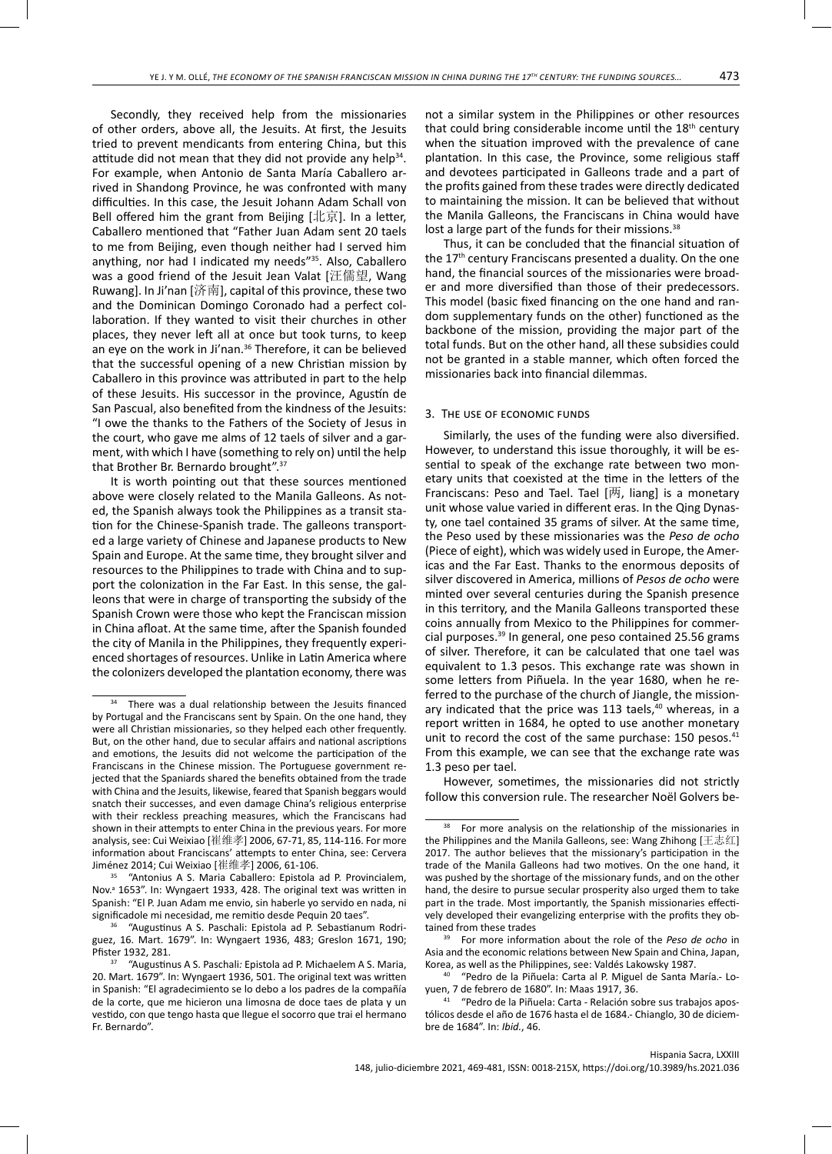Secondly, they received help from the missionaries of other orders, above all, the Jesuits. At first, the Jesuits tried to prevent mendicants from entering China, but this attitude did not mean that they did not provide any help<sup>34</sup>. For example, when Antonio de Santa María Caballero arrived in Shandong Province, he was confronted with many difficulties. In this case, the Jesuit Johann Adam Schall von Bell offered him the grant from Beijing  $[1 \overline{k} \overline{k}]$ . In a letter, Caballero mentioned that "Father Juan Adam sent 20 taels to me from Beijing, even though neither had I served him anything, nor had I indicated my needs"35. Also, Caballero was a good friend of the Jesuit Jean Valat [汪儒望, Wang Ruwang]. In Ji'nan [济南], capital of this province, these two and the Dominican Domingo Coronado had a perfect collaboration. If they wanted to visit their churches in other places, they never left all at once but took turns, to keep an eye on the work in Ji'nan.<sup>36</sup> Therefore, it can be believed that the successful opening of a new Christian mission by Caballero in this province was attributed in part to the help of these Jesuits. His successor in the province, Agustín de San Pascual, also benefited from the kindness of the Jesuits: "I owe the thanks to the Fathers of the Society of Jesus in the court, who gave me alms of 12 taels of silver and a garment, with which I have (something to rely on) until the help that Brother Br. Bernardo brought".37

It is worth pointing out that these sources mentioned above were closely related to the Manila Galleons. As noted, the Spanish always took the Philippines as a transit station for the Chinese-Spanish trade. The galleons transported a large variety of Chinese and Japanese products to New Spain and Europe. At the same time, they brought silver and resources to the Philippines to trade with China and to support the colonization in the Far East. In this sense, the galleons that were in charge of transporting the subsidy of the Spanish Crown were those who kept the Franciscan mission in China afloat. At the same time, after the Spanish founded the city of Manila in the Philippines, they frequently experienced shortages of resources. Unlike in Latin America where the colonizers developed the plantation economy, there was

<sup>35</sup> "Antonius A S. Maria Caballero: Epistola ad P. Provincialem, Nov.<sup>a</sup> 1653". In: Wyngaert 1933, 428. The original text was written in Spanish: "El P. Juan Adam me envio, sin haberle yo servido en nada, ni significadole mi necesidad, me remitio desde Pequin 20 taes".

36 "Augustinus A S. Paschali: Epistola ad P. Sebastianum Rodriguez, 16. Mart. 1679". In: Wyngaert 1936, 483; Greslon 1671, 190; Pfister 1932, 281.

not a similar system in the Philippines or other resources that could bring considerable income until the 18<sup>th</sup> century when the situation improved with the prevalence of cane plantation. In this case, the Province, some religious staff and devotees participated in Galleons trade and a part of the profits gained from these trades were directly dedicated to maintaining the mission. It can be believed that without the Manila Galleons, the Franciscans in China would have lost a large part of the funds for their missions.<sup>38</sup>

Thus, it can be concluded that the financial situation of the 17<sup>th</sup> century Franciscans presented a duality. On the one hand, the financial sources of the missionaries were broader and more diversified than those of their predecessors. This model (basic fixed financing on the one hand and random supplementary funds on the other) functioned as the backbone of the mission, providing the major part of the total funds. But on the other hand, all these subsidies could not be granted in a stable manner, which often forced the missionaries back into financial dilemmas.

# 3. The use of economic funds

Similarly, the uses of the funding were also diversified. However, to understand this issue thoroughly, it will be essential to speak of the exchange rate between two monetary units that coexisted at the time in the letters of the Franciscans: Peso and Tael. Tael [两, liang] is a monetary unit whose value varied in different eras. In the Qing Dynasty, one tael contained 35 grams of silver. At the same time, the Peso used by these missionaries was the *Peso de ocho* (Piece of eight), which was widely used in Europe, the Americas and the Far East. Thanks to the enormous deposits of silver discovered in America, millions of *Pesos de ocho* were minted over several centuries during the Spanish presence in this territory, and the Manila Galleons transported these coins annually from Mexico to the Philippines for commercial purposes.<sup>39</sup> In general, one peso contained 25.56 grams of silver. Therefore, it can be calculated that one tael was equivalent to 1.3 pesos. This exchange rate was shown in some letters from Piñuela. In the year 1680, when he referred to the purchase of the church of Jiangle, the missionary indicated that the price was 113 taels,<sup>40</sup> whereas, in a report written in 1684, he opted to use another monetary unit to record the cost of the same purchase: 150 pesos.<sup>41</sup> From this example, we can see that the exchange rate was 1.3 peso per tael.

However, sometimes, the missionaries did not strictly follow this conversion rule. The researcher Noël Golvers be-

39 For more information about the role of the *Peso de ocho* in Asia and the economic relations between New Spain and China, Japan, Korea, as well as the Philippines, see: Valdés Lakowsky 1987.

"Pedro de la Piñuela: Carta al P. Miguel de Santa María.- Loyuen, 7 de febrero de 1680". In: Maas 1917, 36.

<sup>&</sup>lt;sup>34</sup> There was a dual relationship between the Jesuits financed by Portugal and the Franciscans sent by Spain. On the one hand, they were all Christian missionaries, so they helped each other frequently. But, on the other hand, due to secular affairs and national ascriptions and emotions, the Jesuits did not welcome the participation of the Franciscans in the Chinese mission. The Portuguese government rejected that the Spaniards shared the benefits obtained from the trade with China and the Jesuits, likewise, feared that Spanish beggars would snatch their successes, and even damage China's religious enterprise with their reckless preaching measures, which the Franciscans had shown in their attempts to enter China in the previous years. For more analysis, see: Cui Weixiao [崔维孝] 2006, 67-71, 85, 114-116. For more information about Franciscans' attempts to enter China, see: Cervera<br>Jiménez 2014; Cui Weixiao [崔维孝] 2006, 61-106.

<sup>37 &</sup>quot;Augustinus A S. Paschali*:* Epistola ad P. Michaelem A S. Maria, 20. Mart. 1679". In: Wyngaert 1936, 501. The original text was written in Spanish: "El agradecimiento se lo debo a los padres de la compañía de la corte, que me hicieron una limosna de doce taes de plata y un vestido, con que tengo hasta que llegue el socorro que trai el hermano Fr. Bernardo".

<sup>&</sup>lt;sup>38</sup> For more analysis on the relationship of the missionaries in the Philippines and the Manila Galleons, see: Wang Zhihong [王志红] 2017. The author believes that the missionary's participation in the trade of the Manila Galleons had two motives. On the one hand, it was pushed by the shortage of the missionary funds, and on the other hand, the desire to pursue secular prosperity also urged them to take part in the trade. Most importantly, the Spanish missionaries effectively developed their evangelizing enterprise with the profits they obtained from these trades

<sup>41 &</sup>quot;Pedro de la Piñuela: Carta - Relación sobre sus trabajos apostólicos desde el año de 1676 hasta el de 1684.- Chianglo, 30 de diciembre de 1684". In: *Ibid.*, 46.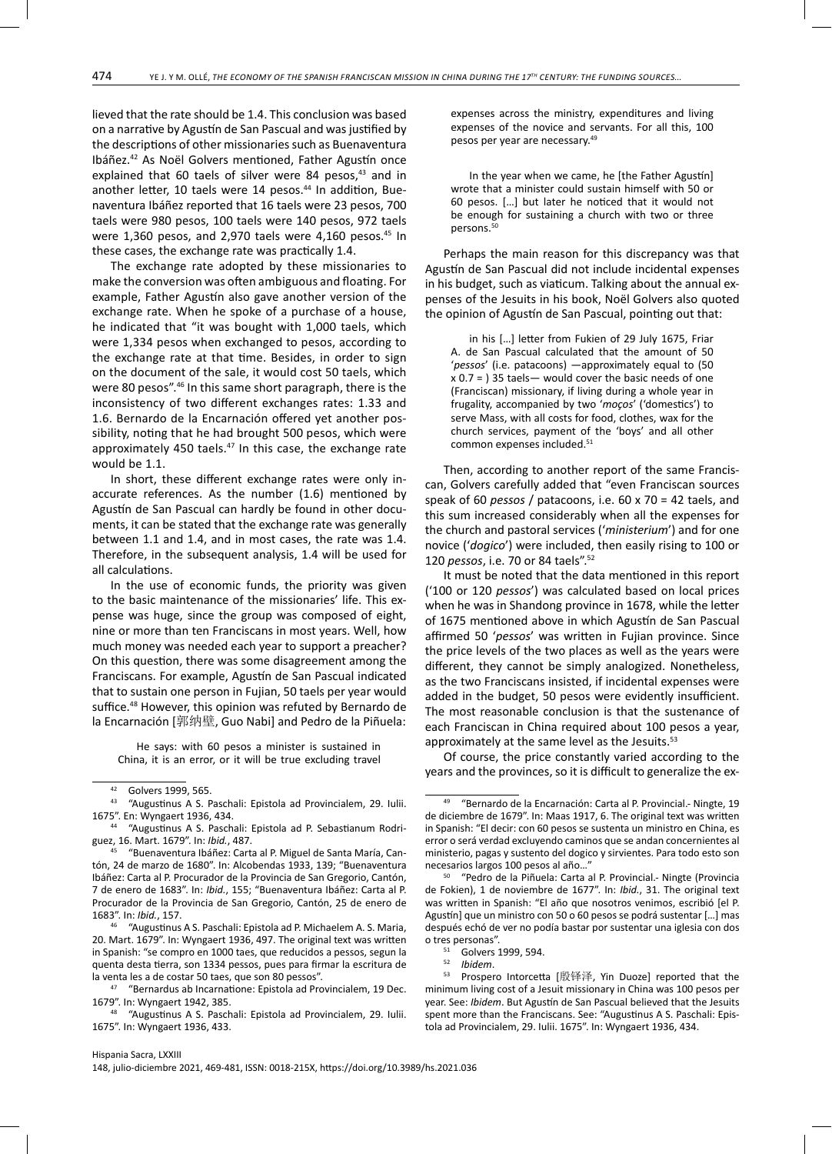lieved that the rate should be 1.4. This conclusion was based on a narrative by Agustín de San Pascual and was justified by the descriptions of other missionaries such as Buenaventura Ibáñez.42 As Noël Golvers mentioned, Father Agustín once explained that 60 taels of silver were 84 pesos, $43$  and in another letter, 10 taels were 14 pesos.<sup>44</sup> In addition, Buenaventura Ibáñez reported that 16 taels were 23 pesos, 700 taels were 980 pesos, 100 taels were 140 pesos, 972 taels were 1,360 pesos, and 2,970 taels were 4,160 pesos. $45$  In these cases, the exchange rate was practically 1.4.

The exchange rate adopted by these missionaries to make the conversion was often ambiguous and floating. For example, Father Agustín also gave another version of the exchange rate. When he spoke of a purchase of a house, he indicated that "it was bought with 1,000 taels, which were 1,334 pesos when exchanged to pesos, according to the exchange rate at that time. Besides, in order to sign on the document of the sale, it would cost 50 taels, which were 80 pesos".46 In this same short paragraph, there is the inconsistency of two different exchanges rates: 1.33 and 1.6. Bernardo de la Encarnación offered yet another possibility, noting that he had brought 500 pesos, which were approximately 450 taels. $47$  In this case, the exchange rate would be 1.1.

In short, these different exchange rates were only inaccurate references. As the number (1.6) mentioned by Agustín de San Pascual can hardly be found in other documents, it can be stated that the exchange rate was generally between 1.1 and 1.4, and in most cases, the rate was 1.4. Therefore, in the subsequent analysis, 1.4 will be used for all calculations.

In the use of economic funds, the priority was given to the basic maintenance of the missionaries' life. This expense was huge, since the group was composed of eight, nine or more than ten Franciscans in most years. Well, how much money was needed each year to support a preacher? On this question, there was some disagreement among the Franciscans. For example, Agustín de San Pascual indicated that to sustain one person in Fujian, 50 taels per year would suffice.48 However, this opinion was refuted by Bernardo de la Encarnación [郭纳壁, Guo Nabi] and Pedro de la Piñuela:

He says: with 60 pesos a minister is sustained in China, it is an error, or it will be true excluding travel expenses across the ministry, expenditures and living expenses of the novice and servants. For all this, 100 pesos per year are necessary.<sup>49</sup>

In the year when we came, he [the Father Agustín] wrote that a minister could sustain himself with 50 or 60 pesos. […] but later he noticed that it would not be enough for sustaining a church with two or three persons.<sup>50</sup>

Perhaps the main reason for this discrepancy was that Agustín de San Pascual did not include incidental expenses in his budget, such as viaticum. Talking about the annual expenses of the Jesuits in his book, Noël Golvers also quoted the opinion of Agustín de San Pascual, pointing out that:

in his […] letter from Fukien of 29 July 1675, Friar A. de San Pascual calculated that the amount of 50 '*pessos*' (i.e. patacoons) —approximately equal to (50  $x$  0.7 = ) 35 taels — would cover the basic needs of one (Franciscan) missionary, if living during a whole year in frugality, accompanied by two '*moços*' ('domestics') to serve Mass, with all costs for food, clothes, wax for the church services, payment of the 'boys' and all other common expenses included.<sup>51</sup>

Then, according to another report of the same Franciscan, Golvers carefully added that "even Franciscan sources speak of 60 *pessos* / patacoons, i.e. 60 x 70 = 42 taels, and this sum increased considerably when all the expenses for the church and pastoral services ('*ministerium*') and for one novice ('*dogico*') were included, then easily rising to 100 or 120 *pessos*, i.e. 70 or 84 taels".52

It must be noted that the data mentioned in this report ('100 or 120 *pessos*') was calculated based on local prices when he was in Shandong province in 1678, while the letter of 1675 mentioned above in which Agustín de San Pascual affirmed 50 '*pessos*' was written in Fujian province. Since the price levels of the two places as well as the years were different, they cannot be simply analogized. Nonetheless, as the two Franciscans insisted, if incidental expenses were added in the budget, 50 pesos were evidently insufficient. The most reasonable conclusion is that the sustenance of each Franciscan in China required about 100 pesos a year, approximately at the same level as the Jesuits.<sup>53</sup>

Of course, the price constantly varied according to the years and the provinces, so it is difficult to generalize the ex-

<sup>42</sup> Golvers 1999, 565.

<sup>43 &</sup>quot;Augustinus A S. Paschali: Epistola ad Provincialem, 29. Iulii. 1675". En: Wyngaert 1936, 434.

<sup>44 &</sup>quot;Augustinus A S. Paschali: Epistola ad P. Sebastianum Rodriguez, 16. Mart. 1679". In: *Ibid.*, 487.

<sup>45 &</sup>quot;Buenaventura Ibáñez: Carta al P. Miguel de Santa María, Cantón, 24 de marzo de 1680". In: Alcobendas 1933, 139; "Buenaventura Ibáñez: Carta al P. Procurador de la Provincia de San Gregorio, Cantón, 7 de enero de 1683". In: *Ibid.*, 155; "Buenaventura Ibáñez: Carta al P. Procurador de la Provincia de San Gregorio, Cantón, 25 de enero de 1683". In: *Ibid.*, 157.

<sup>&</sup>quot;Augustinus A S. Paschali: Epistola ad P. Michaelem A. S. Maria, 20. Mart. 1679". In: Wyngaert 1936, 497. The original text was written in Spanish: "se compro en 1000 taes, que reducidos a pessos, segun la quenta desta tierra, son 1334 pessos, pues para firmar la escritura de la venta les a de costar 50 taes, que son 80 pessos".

<sup>47 &</sup>quot;Bernardus ab Incarnatione: Epistola ad Provincialem, 19 Dec. 1679". In: Wyngaert 1942, 385.<br><sup>48</sup> "Augustinus A.S. Pasch

<sup>48 &</sup>quot;Augustinus A S. Paschali: Epistola ad Provincialem, 29. Iulii. 1675". In: Wyngaert 1936, 433.

<sup>49 &</sup>quot;Bernardo de la Encarnación: Carta al P. Provincial.- Ningte, 19 de diciembre de 1679". In: Maas 1917, 6. The original text was written in Spanish: "El decir: con 60 pesos se sustenta un ministro en China, es error o será verdad excluyendo caminos que se andan concernientes al ministerio, pagas y sustento del dogico y sirvientes. Para todo esto son necesarios largos 100 pesos al año…"

<sup>50 &</sup>quot;Pedro de la Piñuela: Carta al P. Provincial.- Ningte (Provincia de Fokien), 1 de noviembre de 1677". In: *Ibid.*, 31. The original text was written in Spanish: "El año que nosotros venimos, escribió [el P. Agustín] que un ministro con 50 o 60 pesos se podrá sustentar […] mas después echó de ver no podía bastar por sustentar una iglesia con dos o tres personas".

 $51$  Golvers 1999, 594.

<sup>52</sup> *Ibidem*.

<sup>53</sup> Prospero Intorcetta [殷铎泽, Yin Duoze] reported that the minimum living cost of a Jesuit missionary in China was 100 pesos per year. See: *Ibidem*. But Agustín de San Pascual believed that the Jesuits spent more than the Franciscans. See: "Augustinus A S. Paschali: Epistola ad Provincialem, 29. Iulii. 1675". In: Wyngaert 1936, 434.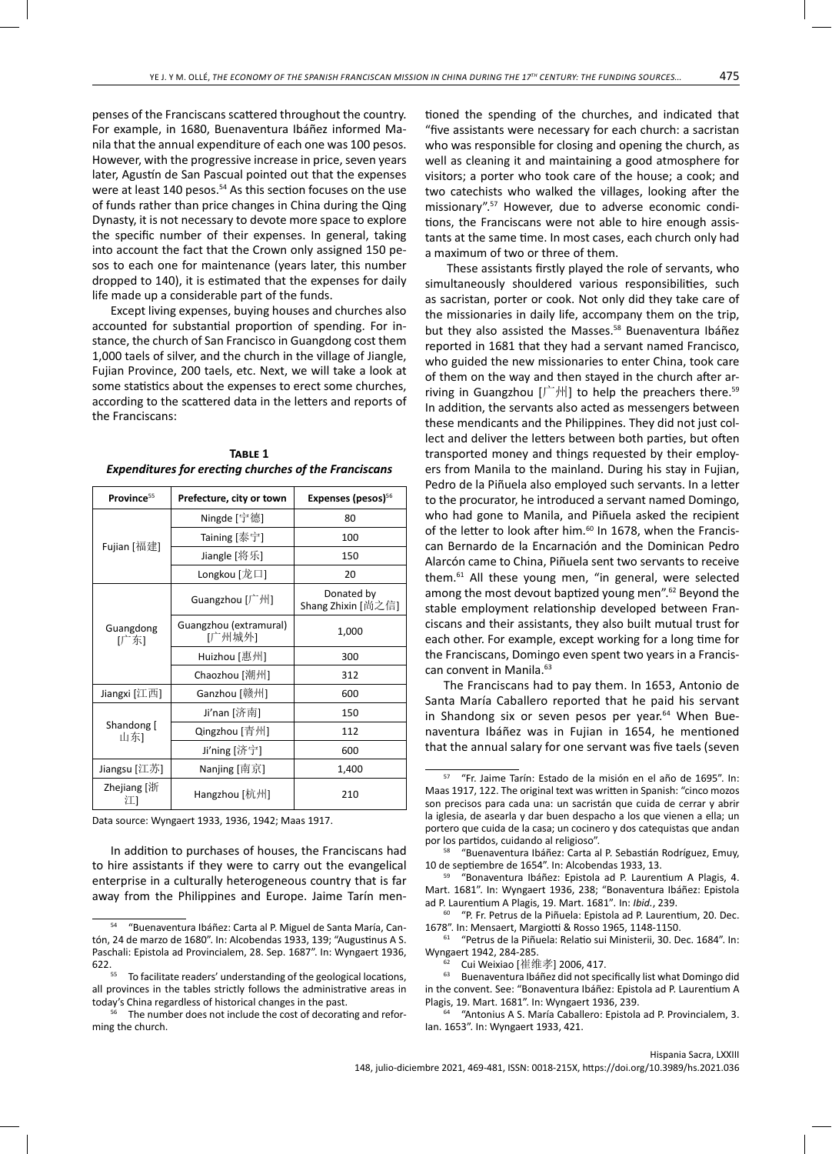penses of the Franciscans scattered throughout the country. For example, in 1680, Buenaventura Ibáñez informed Manila that the annual expenditure of each one was 100 pesos. However, with the progressive increase in price, seven years later, Agustín de San Pascual pointed out that the expenses were at least 140 pesos.<sup>54</sup> As this section focuses on the use of funds rather than price changes in China during the Qing Dynasty, it is not necessary to devote more space to explore the specific number of their expenses. In general, taking into account the fact that the Crown only assigned 150 pesos to each one for maintenance (years later, this number dropped to 140), it is estimated that the expenses for daily life made up a considerable part of the funds.

Except living expenses, buying houses and churches also accounted for substantial proportion of spending. For instance, the church of San Francisco in Guangdong cost them 1,000 taels of silver, and the church in the village of Jiangle, Fujian Province, 200 taels, etc. Next, we will take a look at some statistics about the expenses to erect some churches, according to the scattered data in the letters and reports of the Franciscans:

| Province <sup>55</sup>       | Prefecture, city or town         | Expenses (pesos) <sup>56</sup>   |  |  |
|------------------------------|----------------------------------|----------------------------------|--|--|
|                              | Ningde [宁德]                      | 80                               |  |  |
| Fujian [福建]                  | Taining [泰宁]                     | 100                              |  |  |
|                              | Jiangle [将乐]                     | 150                              |  |  |
|                              | Longkou [龙口]                     | 20                               |  |  |
|                              | Guangzhou [广州]                   | Donated by<br>Shang Zhixin [尚之信] |  |  |
| Guangdong<br>[广东]            | Guangzhou (extramural)<br>[广州城外] | 1,000                            |  |  |
|                              | Huizhou [惠州]                     | 300                              |  |  |
|                              | Chaozhou [潮州]                    | 312                              |  |  |
| Ganzhou [赣州]<br>Jiangxi [江西] |                                  | 600                              |  |  |
|                              | Ji'nan [济南]                      | 150                              |  |  |
| Shandong [<br>山东]            | Qingzhou [青州]                    | 112                              |  |  |
|                              | Ji'ning [济宁]                     | 600                              |  |  |
| Jiangsu [江苏]                 | Nanjing [南京]                     | 1,400                            |  |  |
| Zhejiang [浙<br>ìТ.           | Hangzhou [杭州]                    | 210                              |  |  |

| TABLE 1                                               |
|-------------------------------------------------------|
| Expenditures for erecting churches of the Franciscans |

Data source: Wyngaert 1933, 1936, 1942; Maas 1917.

In addition to purchases of houses, the Franciscans had to hire assistants if they were to carry out the evangelical enterprise in a culturally heterogeneous country that is far away from the Philippines and Europe. Jaime Tarín mentioned the spending of the churches, and indicated that "five assistants were necessary for each church: a sacristan who was responsible for closing and opening the church, as well as cleaning it and maintaining a good atmosphere for visitors; a porter who took care of the house; a cook; and two catechists who walked the villages, looking after the missionary".57 However, due to adverse economic conditions, the Franciscans were not able to hire enough assistants at the same time. In most cases, each church only had a maximum of two or three of them.

 These assistants firstly played the role of servants, who simultaneously shouldered various responsibilities, such as sacristan, porter or cook. Not only did they take care of the missionaries in daily life, accompany them on the trip, but they also assisted the Masses.<sup>58</sup> Buenaventura Ibáñez reported in 1681 that they had a servant named Francisco, who guided the new missionaries to enter China, took care of them on the way and then stayed in the church after arriving in Guangzhou  $[\uparrow \psi]$  to help the preachers there.<sup>59</sup> In addition, the servants also acted as messengers between these mendicants and the Philippines. They did not just collect and deliver the letters between both parties, but often transported money and things requested by their employers from Manila to the mainland. During his stay in Fujian, Pedro de la Piñuela also employed such servants. In a letter to the procurator, he introduced a servant named Domingo, who had gone to Manila, and Piñuela asked the recipient of the letter to look after him.<sup>60</sup> In 1678, when the Franciscan Bernardo de la Encarnación and the Dominican Pedro Alarcón came to China, Piñuela sent two servants to receive them.61 All these young men, "in general, were selected among the most devout baptized young men".62 Beyond the stable employment relationship developed between Franciscans and their assistants, they also built mutual trust for each other. For example, except working for a long time for the Franciscans, Domingo even spent two years in a Franciscan convent in Manila.<sup>63</sup>

The Franciscans had to pay them. In 1653, Antonio de Santa María Caballero reported that he paid his servant in Shandong six or seven pesos per year.<sup>64</sup> When Buenaventura Ibáñez was in Fujian in 1654, he mentioned that the annual salary for one servant was five taels (seven

<sup>60</sup> "P. Fr. Petrus de la Piñuela: Epistola ad P. Laurentium, 20. Dec.<br>1678". In: Mensaert, Margiotti & Rosso 1965, 1148-1150.

<sup>61</sup> "Petrus de la Piñuela: Relatio sui Ministerii, 30. Dec. 1684". In: Wyngaert 1942, 284-285.<br>**62 Cui Weixiao [崔维孝] 2006, 417.** 

63 Buenaventura Ibáñez did not specifically list what Domingo did in the convent. See: "Bonaventura Ibáñez: Epistola ad P. Laurentium A Plagis, 19. Mart. 1681". In: Wyngaert 1936, 239.

"Antonius A S. María Caballero: Epistola ad P. Provincialem, 3. Ian. 1653". In: Wyngaert 1933, 421.

<sup>54 &</sup>quot;Buenaventura Ibáñez: Carta al P. Miguel de Santa María, Cantón, 24 de marzo de 1680". In: Alcobendas 1933, 139; "Augustinus A S. Paschali: Epistola ad Provincialem, 28. Sep. 1687". In: Wyngaert 1936,

<sup>622.&</sup>lt;br><sup>55</sup> To facilitate readers' understanding of the geological locations, all provinces in the tables strictly follows the administrative areas in today's China regardless of historical changes in the past.

The number does not include the cost of decorating and reforming the church.

<sup>57 &</sup>quot;Fr. Jaime Tarín: Estado de la misión en el año de 1695". In: Maas 1917, 122. The original text was written in Spanish: "cinco mozos son precisos para cada una: un sacristán que cuida de cerrar y abrir la iglesia, de asearla y dar buen despacho a los que vienen a ella; un portero que cuida de la casa; un cocinero y dos catequistas que andan

por los partidos, cuidando al religioso".<br>
<sup>58</sup> "Buenaventura Ibáñez: Carta al P. Sebastián Rodríguez, Emuy, 10 de septiembre de 1654". In: Alcobendas 1933, 13.

<sup>59 &</sup>quot;Bonaventura Ibáñez: Epistola ad P. Laurentium A Plagis, 4. Mart. 1681". In: Wyngaert 1936, 238; "Bonaventura Ibáñez: Epistola ad P. Laurentium A Plagis, 19. Mart. 1681". In: Ibid., 239.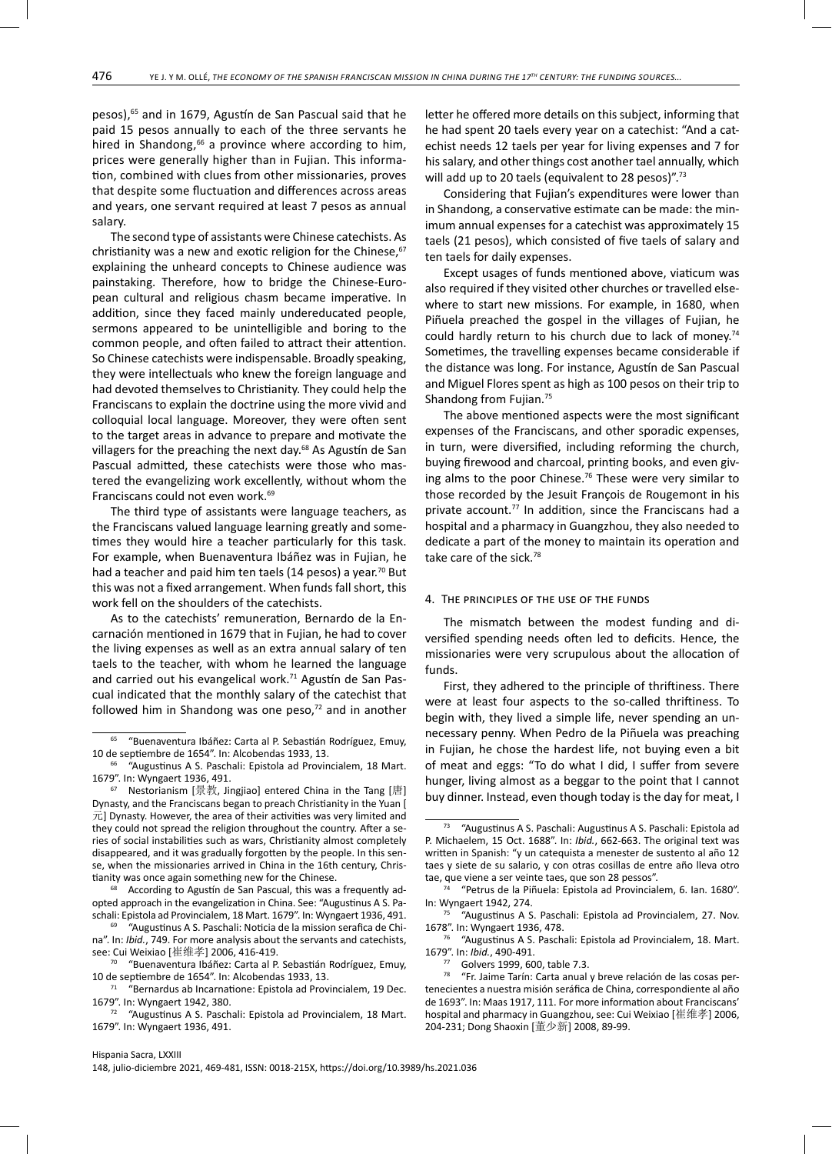pesos),<sup>65</sup> and in 1679, Agustín de San Pascual said that he paid 15 pesos annually to each of the three servants he hired in Shandong,<sup>66</sup> a province where according to him, prices were generally higher than in Fujian. This information, combined with clues from other missionaries, proves that despite some fluctuation and differences across areas and years, one servant required at least 7 pesos as annual salary.

The second type of assistants were Chinese catechists. As christianity was a new and exotic religion for the Chinese, $67$ explaining the unheard concepts to Chinese audience was painstaking. Therefore, how to bridge the Chinese-European cultural and religious chasm became imperative. In addition, since they faced mainly undereducated people, sermons appeared to be unintelligible and boring to the common people, and often failed to attract their attention. So Chinese catechists were indispensable. Broadly speaking, they were intellectuals who knew the foreign language and had devoted themselves to Christianity. They could help the Franciscans to explain the doctrine using the more vivid and colloquial local language. Moreover, they were often sent to the target areas in advance to prepare and motivate the villagers for the preaching the next day.<sup>68</sup> As Agustín de San Pascual admitted, these catechists were those who mastered the evangelizing work excellently, without whom the Franciscans could not even work.69

The third type of assistants were language teachers, as the Franciscans valued language learning greatly and sometimes they would hire a teacher particularly for this task. For example, when Buenaventura Ibáñez was in Fujian, he had a teacher and paid him ten taels (14 pesos) a year.<sup>70</sup> But this was not a fixed arrangement. When funds fall short, this work fell on the shoulders of the catechists.

As to the catechists' remuneration, Bernardo de la Encarnación mentioned in 1679 that in Fujian, he had to cover the living expenses as well as an extra annual salary of ten taels to the teacher, with whom he learned the language and carried out his evangelical work.<sup>71</sup> Agustín de San Pascual indicated that the monthly salary of the catechist that followed him in Shandong was one peso, $72$  and in another

According to Agustín de San Pascual, this was a frequently adopted approach in the evangelization in China. See: "Augustinus A S. Paschali: Epistola ad Provincialem, 18 Mart. 1679". In: Wyngaert 1936, 491.

"Augustinus A S. Paschali: Noticia de la mission serafica de China". In: *Ibid.*, 749. For more analysis about the servants and catechists, see: Cui Weixiao [崔维孝] 2006, 416-419.

<sup>70</sup> "Buenaventura Ibáñez: Carta al P. Sebastián Rodríguez, Emuy, 10 de septiembre de 1654". In: Alcobendas 1933, 13.

<sup>71</sup> "Bernardus ab Incarnatione: Epistola ad Provincialem, 19 Dec. 1679". In: Wyngaert 1942, 380.

 $72$  "Augustinus A S. Paschali: Epistola ad Provincialem, 18 Mart. 1679". In: Wyngaert 1936, 491.

letter he offered more details on this subject, informing that he had spent 20 taels every year on a catechist: "And a catechist needs 12 taels per year for living expenses and 7 for his salary, and other things cost another tael annually, which will add up to 20 taels (equivalent to 28 pesos)".<sup>73</sup>

Considering that Fujian's expenditures were lower than in Shandong, a conservative estimate can be made: the minimum annual expenses for a catechist was approximately 15 taels (21 pesos), which consisted of five taels of salary and ten taels for daily expenses.

Except usages of funds mentioned above, viaticum was also required if they visited other churches or travelled elsewhere to start new missions. For example, in 1680, when Piñuela preached the gospel in the villages of Fujian, he could hardly return to his church due to lack of money.<sup>74</sup> Sometimes, the travelling expenses became considerable if the distance was long. For instance, Agustín de San Pascual and Miguel Flores spent as high as 100 pesos on their trip to Shandong from Fujian.75

The above mentioned aspects were the most significant expenses of the Franciscans, and other sporadic expenses, in turn, were diversified, including reforming the church, buying firewood and charcoal, printing books, and even giving alms to the poor Chinese.<sup>76</sup> These were very similar to those recorded by the Jesuit François de Rougemont in his private account.<sup>77</sup> In addition, since the Franciscans had a hospital and a pharmacy in Guangzhou, they also needed to dedicate a part of the money to maintain its operation and take care of the sick.78

## 4. The principles of the use of the funds

The mismatch between the modest funding and diversified spending needs often led to deficits. Hence, the missionaries were very scrupulous about the allocation of funds.

First, they adhered to the principle of thriftiness. There were at least four aspects to the so-called thriftiness. To begin with, they lived a simple life, never spending an unnecessary penny. When Pedro de la Piñuela was preaching in Fujian, he chose the hardest life, not buying even a bit of meat and eggs: "To do what I did, I suffer from severe hunger, living almost as a beggar to the point that I cannot buy dinner. Instead, even though today is the day for meat, I

76 "Augustinus A S. Paschali: Epistola ad Provincialem, 18. Mart. 1679". In: *Ibid.*, 490-491.

 $77$  Golvers 1999, 600, table 7.3.

<sup>65 &</sup>quot;Buenaventura Ibáñez: Carta al P. Sebastián Rodríguez, Emuy, 10 de septiembre de 1654". In: Alcobendas 1933, 13.

<sup>&</sup>quot;Augustinus A S. Paschali: Epistola ad Provincialem, 18 Mart. 1679". In: Wyngaert 1936, 491.

<sup>67</sup> Nestorianism [景教, Jingjiao] entered China in the Tang [唐] Dynasty, and the Franciscans began to preach Christianity in the Yuan [  $\overline{\pi}$ ] Dynasty. However, the area of their activities was very limited and they could not spread the religion throughout the country. After a series of social instabilities such as wars, Christianity almost completely disappeared, and it was gradually forgotten by the people. In this sense, when the missionaries arrived in China in the 16th century, Christianity was once again something new for the Chinese.

<sup>73 &</sup>quot;Augustinus A S. Paschali: Augustinus A S. Paschali: Epistola ad P. Michaelem, 15 Oct. 1688". In: *Ibid.*, 662-663. The original text was written in Spanish: "y un catequista a menester de sustento al año 12 taes y siete de su salario, y con otras cosillas de entre año lleva otro tae, que viene a ser veinte taes, que son 28 pessos".

<sup>74 &</sup>quot;Petrus de la Piñuela: Epistola ad Provincialem, 6. Ian. 1680". In: Wyngaert 1942, 274.

<sup>&</sup>quot;Augustinus A S. Paschali: Epistola ad Provincialem, 27. Nov. 1678". In: Wyngaert 1936, 478.

<sup>78 &</sup>quot;Fr. Jaime Tarín: Carta anual y breve relación de las cosas pertenecientes a nuestra misión seráfica de China, correspondiente al año de 1693". In: Maas 1917, 111. For more information about Franciscans' hospital and pharmacy in Guangzhou, see: Cui Weixiao [崔维孝] 2006, 204-231; Dong Shaoxin [董少新] 2008, 89-99.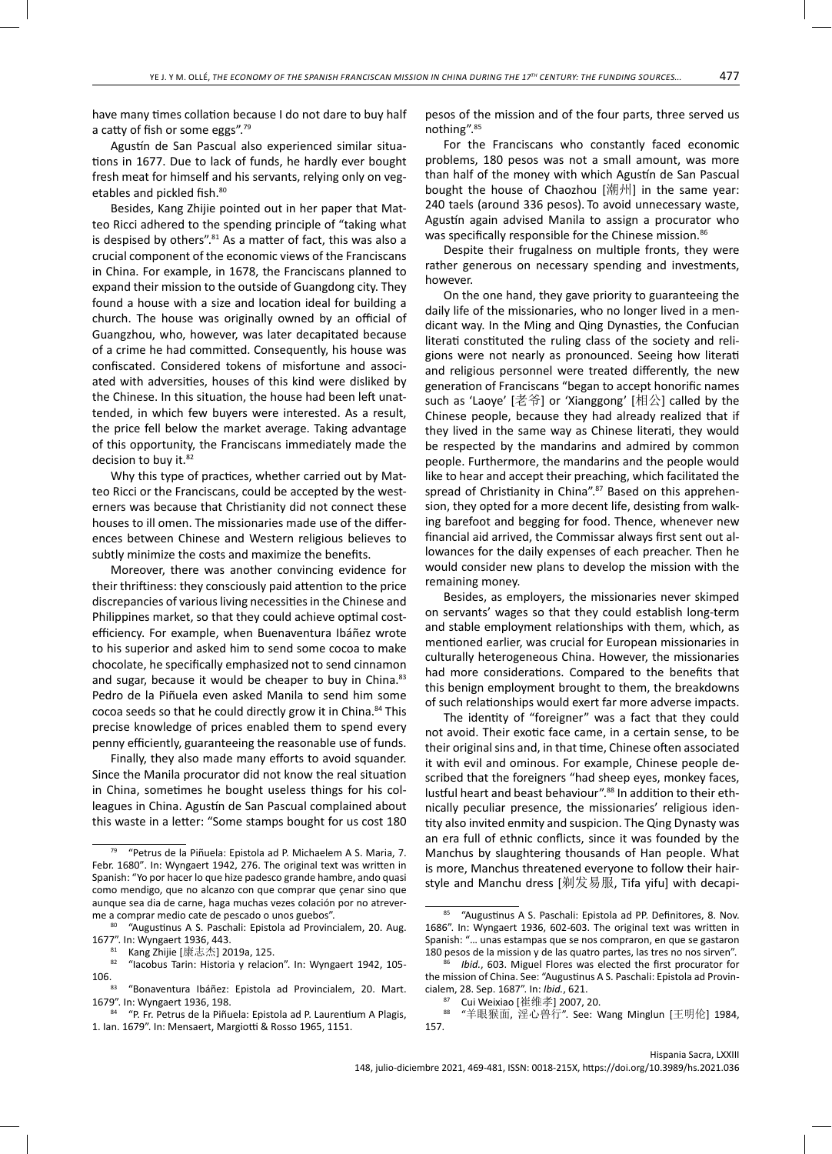have many times collation because I do not dare to buy half

a catty of fish or some eggs".79 Agustín de San Pascual also experienced similar situations in 1677. Due to lack of funds, he hardly ever bought fresh meat for himself and his servants, relying only on vegetables and pickled fish.<sup>80</sup>

Besides, Kang Zhijie pointed out in her paper that Matteo Ricci adhered to the spending principle of "taking what is despised by others". $81$  As a matter of fact, this was also a crucial component of the economic views of the Franciscans in China. For example, in 1678, the Franciscans planned to expand their mission to the outside of Guangdong city. They found a house with a size and location ideal for building a church. The house was originally owned by an official of Guangzhou, who, however, was later decapitated because of a crime he had committed. Consequently, his house was confiscated. Considered tokens of misfortune and associated with adversities, houses of this kind were disliked by the Chinese. In this situation, the house had been left unattended, in which few buyers were interested. As a result, the price fell below the market average. Taking advantage of this opportunity, the Franciscans immediately made the decision to buy it.<sup>82</sup>

Why this type of practices, whether carried out by Matteo Ricci or the Franciscans, could be accepted by the westerners was because that Christianity did not connect these houses to ill omen. The missionaries made use of the differences between Chinese and Western religious believes to subtly minimize the costs and maximize the benefits.

Moreover, there was another convincing evidence for their thriftiness: they consciously paid attention to the price discrepancies of various living necessities in the Chinese and Philippines market, so that they could achieve optimal costefficiency. For example, when Buenaventura Ibáñez wrote to his superior and asked him to send some cocoa to make chocolate, he specifically emphasized not to send cinnamon and sugar, because it would be cheaper to buy in China.<sup>83</sup> Pedro de la Piñuela even asked Manila to send him some cocoa seeds so that he could directly grow it in China.<sup>84</sup> This precise knowledge of prices enabled them to spend every penny efficiently, guaranteeing the reasonable use of funds.

Finally, they also made many efforts to avoid squander. Since the Manila procurator did not know the real situation in China, sometimes he bought useless things for his colleagues in China. Agustín de San Pascual complained about this waste in a letter: "Some stamps bought for us cost 180 pesos of the mission and of the four parts, three served us nothing".85

For the Franciscans who constantly faced economic problems, 180 pesos was not a small amount, was more than half of the money with which Agustín de San Pascual bought the house of Chaozhou [潮州] in the same year: 240 taels (around 336 pesos). To avoid unnecessary waste, Agustín again advised Manila to assign a procurator who was specifically responsible for the Chinese mission.<sup>86</sup>

Despite their frugalness on multiple fronts, they were rather generous on necessary spending and investments, however.

On the one hand, they gave priority to guaranteeing the daily life of the missionaries, who no longer lived in a mendicant way. In the Ming and Qing Dynasties, the Confucian literati constituted the ruling class of the society and religions were not nearly as pronounced. Seeing how literati and religious personnel were treated differently, the new generation of Franciscans "began to accept honorific names such as 'Laoye' [老爷] or 'Xianggong' [相公] called by the Chinese people, because they had already realized that if they lived in the same way as Chinese literati, they would be respected by the mandarins and admired by common people. Furthermore, the mandarins and the people would like to hear and accept their preaching, which facilitated the spread of Christianity in China".<sup>87</sup> Based on this apprehension, they opted for a more decent life, desisting from walking barefoot and begging for food. Thence, whenever new financial aid arrived, the Commissar always first sent out allowances for the daily expenses of each preacher. Then he would consider new plans to develop the mission with the remaining money.

Besides, as employers, the missionaries never skimped on servants' wages so that they could establish long-term and stable employment relationships with them, which, as mentioned earlier, was crucial for European missionaries in culturally heterogeneous China. However, the missionaries had more considerations. Compared to the benefits that this benign employment brought to them, the breakdowns of such relationships would exert far more adverse impacts.

The identity of "foreigner" was a fact that they could not avoid. Their exotic face came, in a certain sense, to be their original sins and, in that time, Chinese often associated it with evil and ominous. For example, Chinese people described that the foreigners "had sheep eyes, monkey faces, lustful heart and beast behaviour".<sup>88</sup> In addition to their ethnically peculiar presence, the missionaries' religious identity also invited enmity and suspicion. The Qing Dynasty was an era full of ethnic conflicts, since it was founded by the Manchus by slaughtering thousands of Han people. What is more, Manchus threatened everyone to follow their hairstyle and Manchu dress [剃发易服, Tifa yifu] with decapi-

<sup>79 &</sup>quot;Petrus de la Piñuela: Epistola ad P. Michaelem A S. Maria, 7. Febr. 1680". In: Wyngaert 1942, 276. The original text was written in Spanish: "Yo por hacer lo que hize padesco grande hambre, ando quasi como mendigo, que no alcanzo con que comprar que çenar sino que aunque sea dia de carne, haga muchas vezes colación por no atreverme a comprar medio cate de pescado o unos guebos".

<sup>&</sup>quot;Augustinus A S. Paschali: Epistola ad Provincialem, 20. Aug. 1677". In: Wyngaert 1936, 443.

<sup>&</sup>lt;sup>81</sup> Kang Zhijie [康志杰] 2019a, 125.<br><sup>82</sup> "Iacobus Tarin: Historia y relacion". In: Wyngaert 1942, 105-<br>106.

 $83$  "Bonaventura Ibáñez: Epistola ad Provincialem, 20. Mart. 1679". In: Wyngaert 1936, 198.

<sup>84 &</sup>quot;P. Fr. Petrus de la Piñuela: Epistola ad P. Laurentium A Plagis, 1. Ian. 1679". In: Mensaert, Margiotti & Rosso 1965, 1151.

<sup>85 &</sup>quot;Augustinus A S. Paschali: Epistola ad PP. Definitores, 8. Nov. 1686". In: Wyngaert 1936, 602-603. The original text was written in Spanish: "… unas estampas que se nos compraron, en que se gastaron 180 pesos de la mission y de las quatro partes, las tres no nos sirven".

Ibid., 603. Miguel Flores was elected the first procurator for the mission of China. See: "Augustinus A S. Paschali: Epistola ad Provincialem, 28. Sep. 1687". In: *Ibid.*, 621.

<sup>87</sup> Cui Weixiao [崔维孝] 2007, 20.

<sup>88 &</sup>quot;羊眼猴面, 淫心兽行". See: Wang Minglun [王明伦] 1984, 157.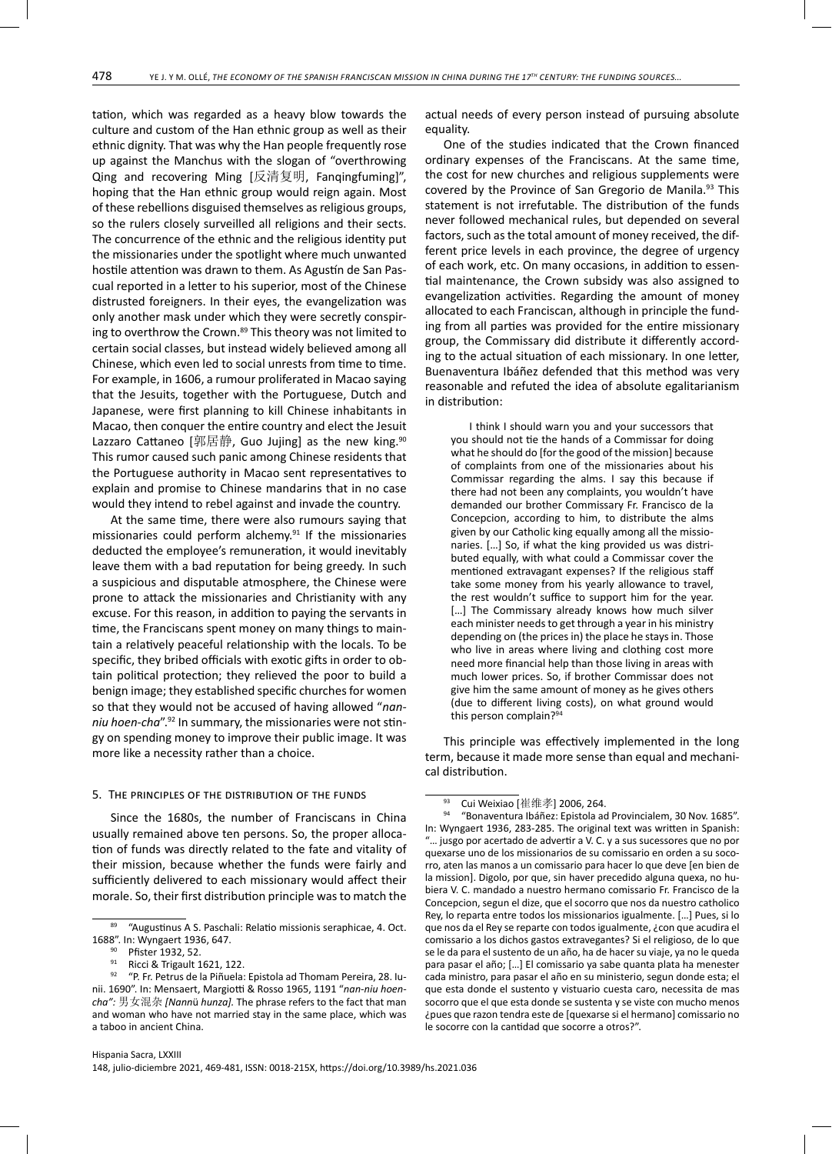tation, which was regarded as a heavy blow towards the culture and custom of the Han ethnic group as well as their ethnic dignity. That was why the Han people frequently rose up against the Manchus with the slogan of "overthrowing Qing and recovering Ming [反清复明, Fanqingfuming]", hoping that the Han ethnic group would reign again. Most of these rebellions disguised themselves as religious groups, so the rulers closely surveilled all religions and their sects. The concurrence of the ethnic and the religious identity put the missionaries under the spotlight where much unwanted hostile attention was drawn to them. As Agustín de San Pascual reported in a letter to his superior, most of the Chinese distrusted foreigners. In their eyes, the evangelization was only another mask under which they were secretly conspiring to overthrow the Crown.<sup>89</sup> This theory was not limited to certain social classes, but instead widely believed among all Chinese, which even led to social unrests from time to time. For example, in 1606, a rumour proliferated in Macao saying that the Jesuits, together with the Portuguese, Dutch and Japanese, were first planning to kill Chinese inhabitants in Macao, then conquer the entire country and elect the Jesuit Lazzaro Cattaneo [郭居静, Guo Jujing] as the new king.<sup>90</sup> This rumor caused such panic among Chinese residents that the Portuguese authority in Macao sent representatives to explain and promise to Chinese mandarins that in no case would they intend to rebel against and invade the country.

At the same time, there were also rumours saying that missionaries could perform alchemy. $91$  If the missionaries deducted the employee's remuneration, it would inevitably leave them with a bad reputation for being greedy. In such a suspicious and disputable atmosphere, the Chinese were prone to attack the missionaries and Christianity with any excuse. For this reason, in addition to paying the servants in time, the Franciscans spent money on many things to maintain a relatively peaceful relationship with the locals. To be specific, they bribed officials with exotic gifts in order to obtain political protection; they relieved the poor to build a benign image; they established specific churches for women so that they would not be accused of having allowed "*nanniu hoen-cha*".92 In summary, the missionaries were not stingy on spending money to improve their public image. It was more like a necessity rather than a choice.

# 5. The principles of the distribution of the funds

Since the 1680s, the number of Franciscans in China usually remained above ten persons. So, the proper allocation of funds was directly related to the fate and vitality of their mission, because whether the funds were fairly and sufficiently delivered to each missionary would affect their morale. So, their first distribution principle was to match the

Ricci & Trigault 1621, 122.

actual needs of every person instead of pursuing absolute equality.

One of the studies indicated that the Crown financed ordinary expenses of the Franciscans. At the same time, the cost for new churches and religious supplements were covered by the Province of San Gregorio de Manila.<sup>93</sup> This statement is not irrefutable. The distribution of the funds never followed mechanical rules, but depended on several factors, such as the total amount of money received, the different price levels in each province, the degree of urgency of each work, etc. On many occasions, in addition to essential maintenance, the Crown subsidy was also assigned to evangelization activities. Regarding the amount of money allocated to each Franciscan, although in principle the funding from all parties was provided for the entire missionary group, the Commissary did distribute it differently according to the actual situation of each missionary. In one letter, Buenaventura Ibáñez defended that this method was very reasonable and refuted the idea of absolute egalitarianism in distribution:

I think I should warn you and your successors that you should not tie the hands of a Commissar for doing what he should do [for the good of the mission] because of complaints from one of the missionaries about his Commissar regarding the alms. I say this because if there had not been any complaints, you wouldn't have demanded our brother Commissary Fr. Francisco de la Concepcion, according to him, to distribute the alms given by our Catholic king equally among all the missionaries. […] So, if what the king provided us was distributed equally, with what could a Commissar cover the mentioned extravagant expenses? If the religious staff take some money from his yearly allowance to travel, the rest wouldn't suffice to support him for the year. [...] The Commissary already knows how much silver each minister needs to get through a year in his ministry depending on (the prices in) the place he stays in. Those who live in areas where living and clothing cost more need more financial help than those living in areas with much lower prices. So, if brother Commissar does not give him the same amount of money as he gives others (due to different living costs), on what ground would this person complain?<sup>9</sup>

This principle was effectively implemented in the long term, because it made more sense than equal and mechanical distribution.

<sup>89 &</sup>quot;Augustinus A S. Paschali: Relatio missionis seraphicae, 4. Oct. 1688". In: Wyngaert 1936, 647.

 $^{90}$  Pfister 1932, 52.<br> $^{91}$  Ricci & Trigault 1

<sup>92 &</sup>quot;P. Fr. Petrus de la Piñuela: Epistola ad Thomam Pereira, 28. Iunii. 1690". In: Mensaert, Margiotti & Rosso 1965, 1191 "*nan-niu hoencha":* 男女混杂 *[Nann*ü *hunza].* The phrase refers to the fact that man and woman who have not married stay in the same place, which was a taboo in ancient China.

<sup>&</sup>lt;sup>93</sup> Cui Weixiao [崔维孝] 2006, 264.

<sup>94 &</sup>quot;Bonaventura Ibáñez: Epistola ad Provincialem, 30 Nov. 1685". In: Wyngaert 1936, 283-285. The original text was written in Spanish: "… jusgo por acertado de advertir a V. C. y a sus sucessores que no por quexarse uno de los missionarios de su comissario en orden a su socorro, aten las manos a un comissario para hacer lo que deve [en bien de la mission]. Digolo, por que, sin haver precedido alguna quexa, no hubiera V. C. mandado a nuestro hermano comissario Fr. Francisco de la Concepcion, segun el dize, que el socorro que nos da nuestro catholico Rey, lo reparta entre todos los missionarios igualmente. […] Pues, si lo que nos da el Rey se reparte con todos igualmente, ¿con que acudira el comissario a los dichos gastos extravegantes? Si el religioso, de lo que se le da para el sustento de un año, ha de hacer su viaje, ya no le queda para pasar el año; […] El comissario ya sabe quanta plata ha menester cada ministro, para pasar el año en su ministerio, segun donde esta; el que esta donde el sustento y vistuario cuesta caro, necessita de mas socorro que el que esta donde se sustenta y se viste con mucho menos ¿pues que razon tendra este de [quexarse si el hermano] comissario no le socorre con la cantidad que socorre a otros?".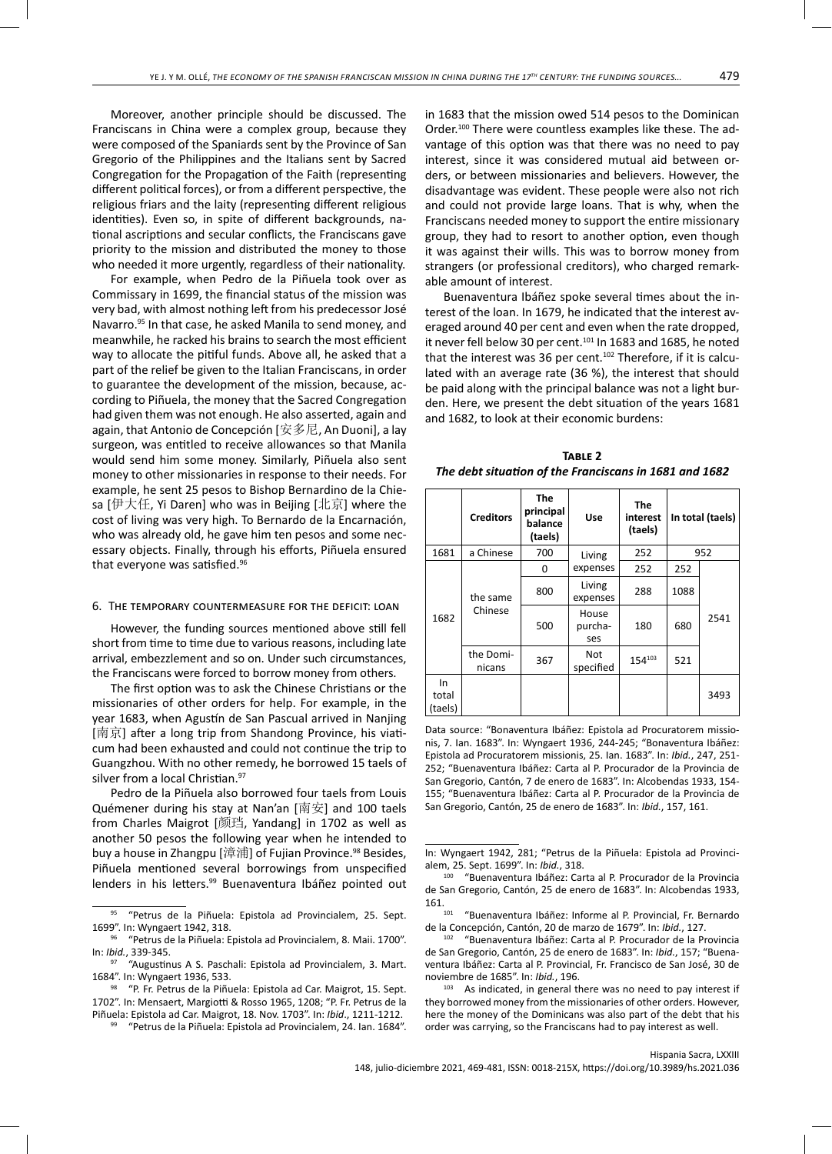Moreover, another principle should be discussed. The Franciscans in China were a complex group, because they were composed of the Spaniards sent by the Province of San Gregorio of the Philippines and the Italians sent by Sacred Congregation for the Propagation of the Faith (representing different political forces), or from a different perspective, the religious friars and the laity (representing different religious identities). Even so, in spite of different backgrounds, national ascriptions and secular conflicts, the Franciscans gave priority to the mission and distributed the money to those who needed it more urgently, regardless of their nationality.

For example, when Pedro de la Piñuela took over as Commissary in 1699, the financial status of the mission was very bad, with almost nothing left from his predecessor José Navarro.95 In that case, he asked Manila to send money, and meanwhile, he racked his brains to search the most efficient way to allocate the pitiful funds. Above all, he asked that a part of the relief be given to the Italian Franciscans, in order to guarantee the development of the mission, because, according to Piñuela, the money that the Sacred Congregation had given them was not enough. He also asserted, again and again, that Antonio de Concepción [安多尼, An Duoni], a lay surgeon, was entitled to receive allowances so that Manila would send him some money. Similarly, Piñuela also sent money to other missionaries in response to their needs. For example, he sent 25 pesos to Bishop Bernardino de la Chiesa [伊大任, Yi Daren] who was in Beijing [北京] where the cost of living was very high. To Bernardo de la Encarnación, who was already old, he gave him ten pesos and some necessary objects. Finally, through his efforts, Piñuela ensured that everyone was satisfied.96

# 6. The temporary countermeasure for the deficit: loan

However, the funding sources mentioned above still fell short from time to time due to various reasons, including late arrival, embezzlement and so on. Under such circumstances, the Franciscans were forced to borrow money from others.

The first option was to ask the Chinese Christians or the missionaries of other orders for help. For example, in the year 1683, when Agustín de San Pascual arrived in Nanjing [南京] after a long trip from Shandong Province, his viaticum had been exhausted and could not continue the trip to Guangzhou. With no other remedy, he borrowed 15 taels of silver from a local Christian.<sup>97</sup>

Pedro de la Piñuela also borrowed four taels from Louis Quémener during his stay at Nan'an [南安] and 100 taels from Charles Maigrot [颜珰, Yandang] in 1702 as well as another 50 pesos the following year when he intended to buy a house in Zhangpu [漳浦] of Fujian Province.<sup>98</sup> Besides, Piñuela mentioned several borrowings from unspecified lenders in his letters.<sup>99</sup> Buenaventura Ibáñez pointed out in 1683 that the mission owed 514 pesos to the Dominican Order.100 There were countless examples like these. The advantage of this option was that there was no need to pay interest, since it was considered mutual aid between orders, or between missionaries and believers. However, the disadvantage was evident. These people were also not rich and could not provide large loans. That is why, when the Franciscans needed money to support the entire missionary group, they had to resort to another option, even though it was against their wills. This was to borrow money from strangers (or professional creditors), who charged remarkable amount of interest.

Buenaventura Ibáñez spoke several times about the interest of the loan. In 1679, he indicated that the interest averaged around 40 per cent and even when the rate dropped, it never fell below 30 per cent. $101$  In 1683 and 1685, he noted that the interest was 36 per cent. $102$  Therefore, if it is calculated with an average rate (36 %), the interest that should be paid along with the principal balance was not a light burden. Here, we present the debt situation of the years 1681 and 1682, to look at their economic burdens:

| TABLE 2                                                |
|--------------------------------------------------------|
| The debt situation of the Franciscans in 1681 and 1682 |

|                        | <b>Creditors</b>    | <b>The</b><br>principal<br>balance<br>(taels) | Use                     | <b>The</b><br>interest<br>(taels) | In total (taels) |      |
|------------------------|---------------------|-----------------------------------------------|-------------------------|-----------------------------------|------------------|------|
| 1681                   | a Chinese           | 700                                           | 952<br>252<br>Living    |                                   |                  |      |
| 1682                   | the same<br>Chinese | 0                                             | expenses                | 252                               | 252              | 2541 |
|                        |                     | 800                                           | Living<br>expenses      | 288                               | 1088             |      |
|                        |                     | 500                                           | House<br>purcha-<br>ses | 180                               | 680              |      |
|                        | the Domi-<br>nicans | 367                                           | Not<br>specified        | 154103                            | 521              |      |
| In<br>total<br>(taels) |                     |                                               |                         |                                   |                  | 3493 |

Data source: "Bonaventura Ibáñez: Epistola ad Procuratorem missionis, 7. Ian. 1683". In: Wyngaert 1936, 244-245; "Bonaventura Ibáñez: Epistola ad Procuratorem missionis, 25. Ian. 1683". In: *Ibid.*, 247, 251- 252; "Buenaventura Ibáñez: Carta al P. Procurador de la Provincia de San Gregorio, Cantón, 7 de enero de 1683". In: Alcobendas 1933, 154- 155; "Buenaventura Ibáñez: Carta al P. Procurador de la Provincia de San Gregorio, Cantón, 25 de enero de 1683". In: *Ibid.*, 157, 161.

In: Wyngaert 1942, 281; "Petrus de la Piñuela: Epistola ad Provincialem, 25. Sept. 1699". In: *Ibid.*, 318.

<sup>95 &</sup>quot;Petrus de la Piñuela: Epistola ad Provincialem, 25. Sept. 1699". In: Wyngaert 1942, 318.

<sup>96 &</sup>quot;Petrus de la Piñuela: Epistola ad Provincialem, 8. Maii. 1700". In: *Ibid.*, 339-345.

<sup>97 &</sup>quot;Augustinus A S. Paschali: Epistola ad Provincialem, 3. Mart. 1684". In: Wyngaert 1936, 533.

<sup>98 &</sup>quot;P. Fr. Petrus de la Piñuela: Epistola ad Car. Maigrot, 15. Sept. 1702". In: Mensaert, Margiotti & Rosso 1965, 1208; "P. Fr. Petrus de la Piñuela: Epistola ad Car. Maigrot, 18. Nov. 1703". In: *Ibid*., 1211-1212.

<sup>99 &</sup>quot;Petrus de la Piñuela: Epistola ad Provincialem, 24. Ian. 1684".

<sup>100</sup> "Buenaventura Ibáñez: Carta al P. Procurador de la Provincia de San Gregorio, Cantón, 25 de enero de 1683". In: Alcobendas 1933,  $161.$ <sub>101</sub>

<sup>&</sup>lt;sup>101</sup> "Buenaventura Ibáñez: Informe al P. Provincial, Fr. Bernardo de la Concepción, Cantón, 20 de marzo de 1679". In: *Ibid.*, 127.

<sup>&</sup>lt;sup>102</sup> "Buenaventura Ibáñez: Carta al P. Procurador de la Provincia de San Gregorio, Cantón, 25 de enero de 1683". In: *Ibid.*, 157; "Buenaventura Ibáñez: Carta al P. Provincial, Fr. Francisco de San José, 30 de noviembre de 1685". In: *Ibid.*, 196.<br><sup>103</sup> As indicated, in general there was no need to pay interest if

they borrowed money from the missionaries of other orders. However, here the money of the Dominicans was also part of the debt that his order was carrying, so the Franciscans had to pay interest as well.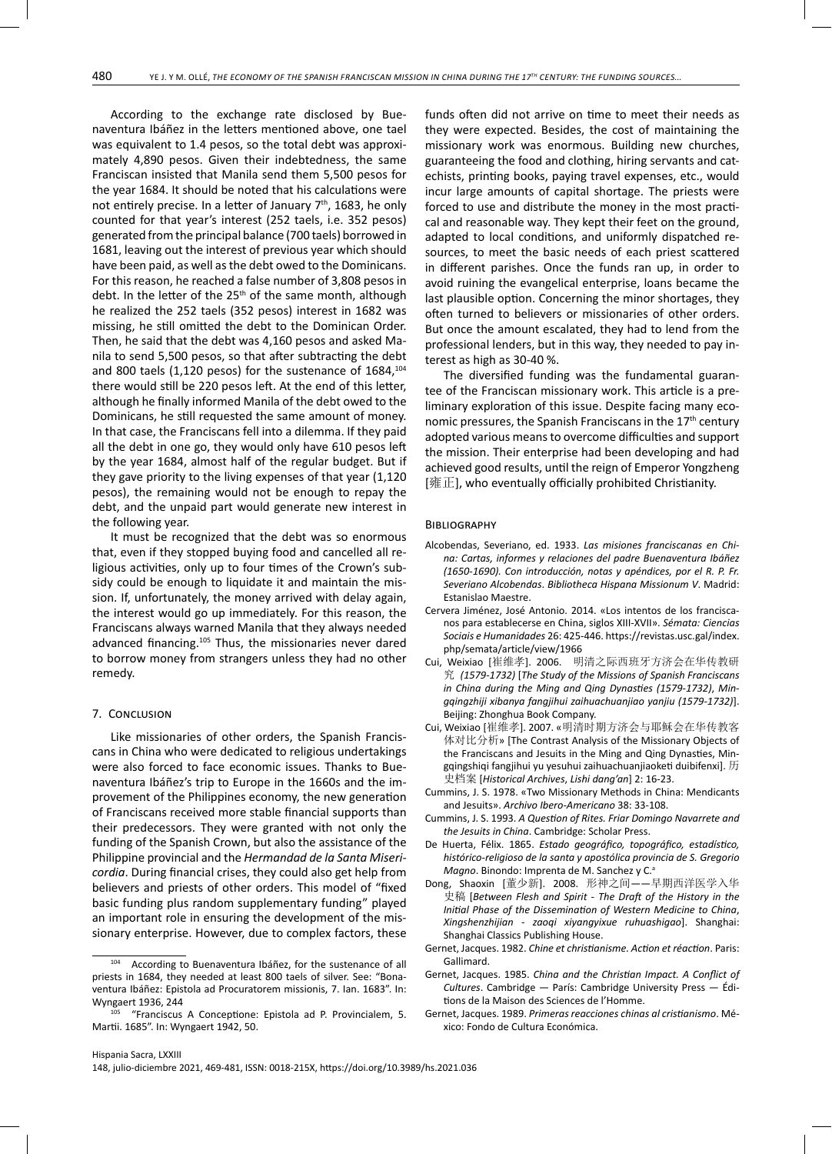According to the exchange rate disclosed by Buenaventura Ibáñez in the letters mentioned above, one tael was equivalent to 1.4 pesos, so the total debt was approximately 4,890 pesos. Given their indebtedness, the same Franciscan insisted that Manila send them 5,500 pesos for the year 1684. It should be noted that his calculations were not entirely precise. In a letter of January 7<sup>th</sup>, 1683, he only counted for that year's interest (252 taels, i.e. 352 pesos) generated from the principal balance (700 taels) borrowed in 1681, leaving out the interest of previous year which should have been paid, as well as the debt owed to the Dominicans. For this reason, he reached a false number of 3,808 pesos in debt. In the letter of the 25<sup>th</sup> of the same month, although he realized the 252 taels (352 pesos) interest in 1682 was missing, he still omitted the debt to the Dominican Order. Then, he said that the debt was 4,160 pesos and asked Manila to send 5,500 pesos, so that after subtracting the debt and 800 taels (1,120 pesos) for the sustenance of  $1684$ ,  $104$ there would still be 220 pesos left. At the end of this letter, although he finally informed Manila of the debt owed to the Dominicans, he still requested the same amount of money. In that case, the Franciscans fell into a dilemma. If they paid all the debt in one go, they would only have 610 pesos left by the year 1684, almost half of the regular budget. But if they gave priority to the living expenses of that year (1,120 pesos), the remaining would not be enough to repay the debt, and the unpaid part would generate new interest in the following year.

It must be recognized that the debt was so enormous that, even if they stopped buying food and cancelled all religious activities, only up to four times of the Crown's subsidy could be enough to liquidate it and maintain the mission. If, unfortunately, the money arrived with delay again, the interest would go up immediately. For this reason, the Franciscans always warned Manila that they always needed advanced financing.<sup>105</sup> Thus, the missionaries never dared to borrow money from strangers unless they had no other remedy.

## 7. Conclusion

Like missionaries of other orders, the Spanish Franciscans in China who were dedicated to religious undertakings were also forced to face economic issues. Thanks to Buenaventura Ibáñez's trip to Europe in the 1660s and the improvement of the Philippines economy, the new generation of Franciscans received more stable financial supports than their predecessors. They were granted with not only the funding of the Spanish Crown, but also the assistance of the Philippine provincial and the *Hermandad de la Santa Misericordia*. During financial crises, they could also get help from believers and priests of other orders. This model of "fixed basic funding plus random supplementary funding" played an important role in ensuring the development of the missionary enterprise. However, due to complex factors, these funds often did not arrive on time to meet their needs as they were expected. Besides, the cost of maintaining the missionary work was enormous. Building new churches, guaranteeing the food and clothing, hiring servants and catechists, printing books, paying travel expenses, etc., would incur large amounts of capital shortage. The priests were forced to use and distribute the money in the most practical and reasonable way. They kept their feet on the ground, adapted to local conditions, and uniformly dispatched resources, to meet the basic needs of each priest scattered in different parishes. Once the funds ran up, in order to avoid ruining the evangelical enterprise, loans became the last plausible option. Concerning the minor shortages, they often turned to believers or missionaries of other orders. But once the amount escalated, they had to lend from the professional lenders, but in this way, they needed to pay interest as high as 30-40 %.

The diversified funding was the fundamental guarantee of the Franciscan missionary work. This article is a preliminary exploration of this issue. Despite facing many economic pressures, the Spanish Franciscans in the 17<sup>th</sup> century adopted various means to overcome difficulties and support the mission. Their enterprise had been developing and had achieved good results, until the reign of Emperor Yongzheng  $[$ 雍正], who eventually officially prohibited Christianity.

### **BIBLIOGRAPHY**

- Alcobendas, Severiano, ed. 1933. *Las misiones franciscanas en China: Cartas, informes y relaciones del padre Buenaventura Ibáñez (1650-1690). Con introducción, notas y apéndices, por el R. P. Fr. Severiano Alcobendas*. *Bibliotheca Hispana Missionum V*. Madrid: Estanislao Maestre.
- Cervera Jiménez, José Antonio. 2014. «Los intentos de los franciscanos para establecerse en China, siglos XIII-XVII». *Sémata: Ciencias Sociais e Humanidades* 26: 425-446. [https://revistas.usc.gal/index.](https://revistas.usc.gal/index.php/semata/article/view/1966) [php/semata/article/view/1966](https://revistas.usc.gal/index.php/semata/article/view/1966)
- Cui, Weixiao [崔维孝]. 2006. 明清之际西班牙方济会在华传教研 究 *(1579-1732)* [*The Study of the Missions of Spanish Franciscans in China during the Ming and Qing Dynasties (1579-1732)*, *Mingqingzhiji xibanya fangjihui zaihuachuanjiao yanjiu (1579-1732)*]. Beijing: Zhonghua Book Company.
- Cui, Weixiao [崔维孝]. 2007. «明清时期方济会与耶稣会在华传教客 体对比分析» [The Contrast Analysis of the Missionary Objects of the Franciscans and Jesuits in the Ming and Qing Dynasties, Mingqingshiqi fangjihui yu yesuhui zaihuachuanjiaoketi duibifenxi]. 历 史档案 [*Historical Archives*, *Lishi dang'an*] 2: 16-23.
- Cummins, J. S. 1978. «Two Missionary Methods in China: Mendicants and Jesuits». *Archivo Ibero-Americano* 38: 33-108.
- Cummins, J. S. 1993. *A Question of Rites. Friar Domingo Navarrete and the Jesuits in China*. Cambridge: Scholar Press.
- De Huerta, Félix. 1865. *Estado geográfico, topográfico, estadístico, histórico-religioso de la santa y apostólica provincia de S. Gregorio Magno*. Binondo: Imprenta de M. Sanchez y C.<sup>a</sup>
- Dong, Shaoxin [董少新]. 2008. 形神之间*——*早期西洋医学入华 史稿 [*Between Flesh and Spirit - The Draft of the History in the Initial Phase of the Dissemination of Western Medicine to China*, *Xingshenzhijian - zaoqi xiyangyixue ruhuashigao*]. Shanghai: Shanghai Classics Publishing House.
- Gernet, Jacques. 1982. *Chine et christianisme. Action et réaction*. Paris: Gallimard.
- Gernet, Jacques. 1985. *China and the Christian Impact. A Conflict of Cultures*. Cambridge — París: Cambridge University Press — Éditions de la Maison des Sciences de l'Homme.
- Gernet, Jacques. 1989. *Primeras reacciones chinas al cristianismo*. México: Fondo de Cultura Económica.

According to Buenaventura Ibáñez, for the sustenance of all priests in 1684, they needed at least 800 taels of silver. See: "Bonaventura Ibáñez: Epistola ad Procuratorem missionis, 7. Ian. 1683". In: Wyngaert 1936, 244

<sup>&</sup>quot;Franciscus A Conceptione: Epistola ad P. Provincialem, 5. Martii. 1685". In: Wyngaert 1942, 50.